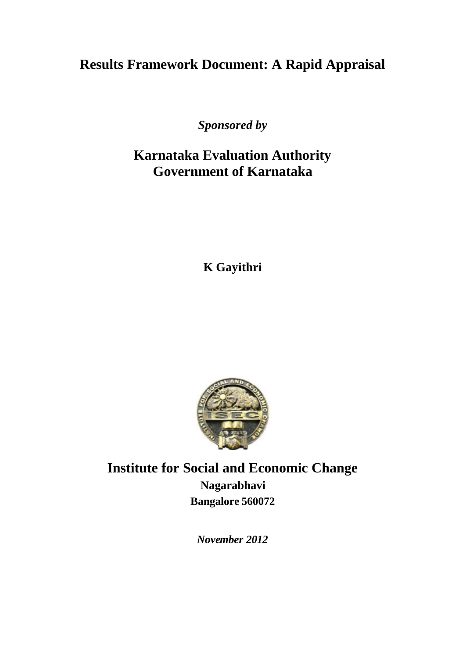# **Results Framework Document: A Rapid Appraisal**

*Sponsored by*

# **Karnataka Evaluation Authority Government of Karnataka**

**K Gayithri**



**Institute for Social and Economic Change Nagarabhavi Bangalore 560072**

*November 2012*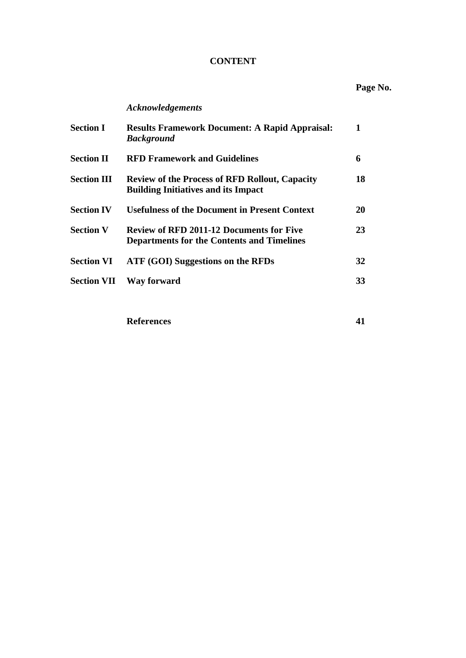## **CONTENT**

# **Page No.**

## *Acknowledgements*

| <b>Section I</b>   | <b>Results Framework Document: A Rapid Appraisal:</b><br><b>Background</b>                           | 1  |
|--------------------|------------------------------------------------------------------------------------------------------|----|
| <b>Section II</b>  | <b>RFD Framework and Guidelines</b>                                                                  | 6  |
| <b>Section III</b> | <b>Review of the Process of RFD Rollout, Capacity</b><br><b>Building Initiatives and its Impact</b>  | 18 |
| <b>Section IV</b>  | <b>Usefulness of the Document in Present Context</b>                                                 | 20 |
| <b>Section V</b>   | <b>Review of RFD 2011-12 Documents for Five</b><br><b>Departments for the Contents and Timelines</b> | 23 |
| <b>Section VI</b>  | ATF (GOI) Suggestions on the RFDs                                                                    | 32 |
| <b>Section VII</b> | Way forward                                                                                          | 33 |

**References 41**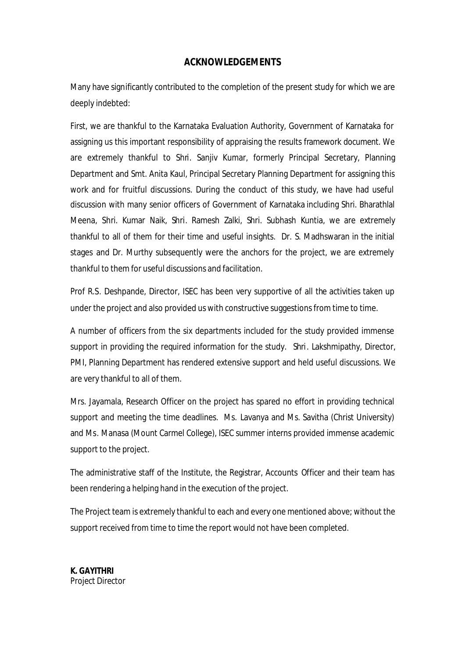## **ACKNOWLEDGEMENTS**

Many have significantly contributed to the completion of the present study for which we are deeply indebted:

First, we are thankful to the Karnataka Evaluation Authority, Government of Karnataka for assigning us this important responsibility of appraising the results framework document. We are extremely thankful to Shri. Sanjiv Kumar, formerly Principal Secretary, Planning Department and Smt. Anita Kaul, Principal Secretary Planning Department for assigning this work and for fruitful discussions. During the conduct of this study, we have had useful discussion with many senior officers of Government of Karnataka including Shri. Bharathlal Meena, Shri. Kumar Naik, Shri. Ramesh Zalki, Shri. Subhash Kuntia, we are extremely thankful to all of them for their time and useful insights. Dr. S. Madhswaran in the initial stages and Dr. Murthy subsequently were the anchors for the project, we are extremely thankful to them for useful discussions and facilitation.

Prof R.S. Deshpande, Director, ISEC has been very supportive of all the activities taken up under the project and also provided us with constructive suggestions from time to time.

A number of officers from the six departments included for the study provided immense support in providing the required information for the study. Shri. Lakshmipathy, Director, PMI, Planning Department has rendered extensive support and held useful discussions. We are very thankful to all of them.

Mrs. Jayamala, Research Officer on the project has spared no effort in providing technical support and meeting the time deadlines. Ms. Lavanya and Ms. Savitha (Christ University) and Ms. Manasa (Mount Carmel College), ISEC summer interns provided immense academic support to the project.

The administrative staff of the Institute, the Registrar, Accounts Officer and their team has been rendering a helping hand in the execution of the project.

The Project team is extremely thankful to each and every one mentioned above; without the support received from time to time the report would not have been completed.

**K. GAYITHRI** *Project Director*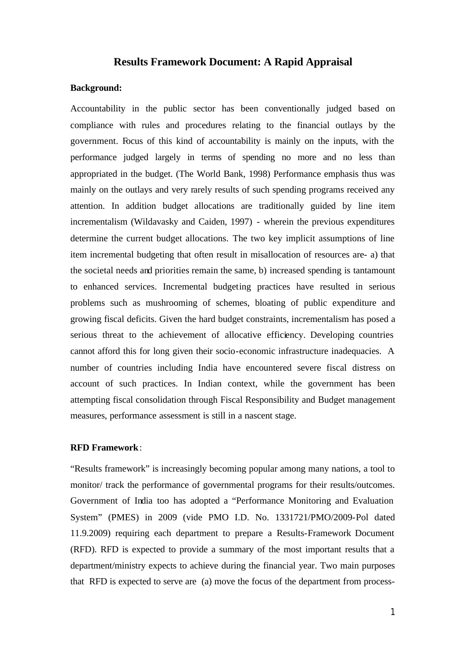### **Results Framework Document: A Rapid Appraisal**

### **Background:**

Accountability in the public sector has been conventionally judged based on compliance with rules and procedures relating to the financial outlays by the government. Focus of this kind of accountability is mainly on the inputs, with the performance judged largely in terms of spending no more and no less than appropriated in the budget. (The World Bank, 1998) Performance emphasis thus was mainly on the outlays and very rarely results of such spending programs received any attention. In addition budget allocations are traditionally guided by line item incrementalism (Wildavasky and Caiden, 1997) - wherein the previous expenditures determine the current budget allocations. The two key implicit assumptions of line item incremental budgeting that often result in misallocation of resources are- a) that the societal needs and priorities remain the same, b) increased spending is tantamount to enhanced services. Incremental budgeting practices have resulted in serious problems such as mushrooming of schemes, bloating of public expenditure and growing fiscal deficits. Given the hard budget constraints, incrementalism has posed a serious threat to the achievement of allocative efficiency. Developing countries cannot afford this for long given their socio-economic infrastructure inadequacies. A number of countries including India have encountered severe fiscal distress on account of such practices. In Indian context, while the government has been attempting fiscal consolidation through Fiscal Responsibility and Budget management measures, performance assessment is still in a nascent stage.

#### **RFD Framework**:

"Results framework" is increasingly becoming popular among many nations, a tool to monitor/ track the performance of governmental programs for their results/outcomes. Government of India too has adopted a "Performance Monitoring and Evaluation System" (PMES) in 2009 (vide PMO I.D. No. 1331721/PMO/2009-Pol dated 11.9.2009) requiring each department to prepare a Results-Framework Document (RFD). RFD is expected to provide a summary of the most important results that a department/ministry expects to achieve during the financial year. Two main purposes that RFD is expected to serve are (a) move the focus of the department from process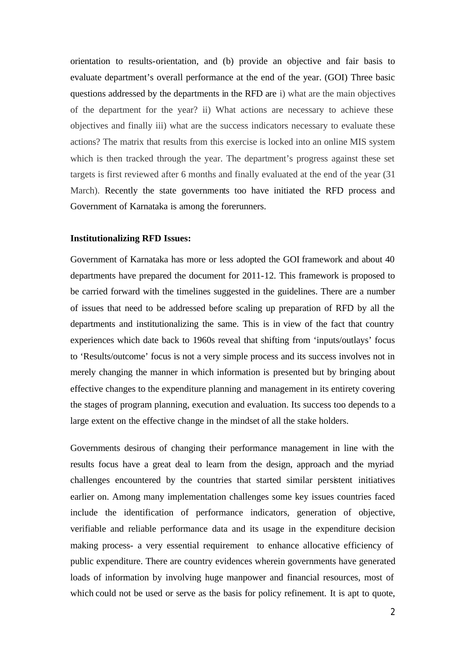orientation to results-orientation, and (b) provide an objective and fair basis to evaluate department's overall performance at the end of the year. (GOI) Three basic questions addressed by the departments in the RFD are i) what are the main objectives of the department for the year? ii) What actions are necessary to achieve these objectives and finally iii) what are the success indicators necessary to evaluate these actions? The matrix that results from this exercise is locked into an online MIS system which is then tracked through the year. The department's progress against these set targets is first reviewed after 6 months and finally evaluated at the end of the year (31 March). Recently the state governments too have initiated the RFD process and Government of Karnataka is among the forerunners.

#### **Institutionalizing RFD Issues:**

Government of Karnataka has more or less adopted the GOI framework and about 40 departments have prepared the document for 2011-12. This framework is proposed to be carried forward with the timelines suggested in the guidelines. There are a number of issues that need to be addressed before scaling up preparation of RFD by all the departments and institutionalizing the same. This is in view of the fact that country experiences which date back to 1960s reveal that shifting from 'inputs/outlays' focus to 'Results/outcome' focus is not a very simple process and its success involves not in merely changing the manner in which information is presented but by bringing about effective changes to the expenditure planning and management in its entirety covering the stages of program planning, execution and evaluation. Its success too depends to a large extent on the effective change in the mindset of all the stake holders.

Governments desirous of changing their performance management in line with the results focus have a great deal to learn from the design, approach and the myriad challenges encountered by the countries that started similar persistent initiatives earlier on. Among many implementation challenges some key issues countries faced include the identification of performance indicators, generation of objective, verifiable and reliable performance data and its usage in the expenditure decision making process- a very essential requirement to enhance allocative efficiency of public expenditure. There are country evidences wherein governments have generated loads of information by involving huge manpower and financial resources, most of which could not be used or serve as the basis for policy refinement. It is apt to quote,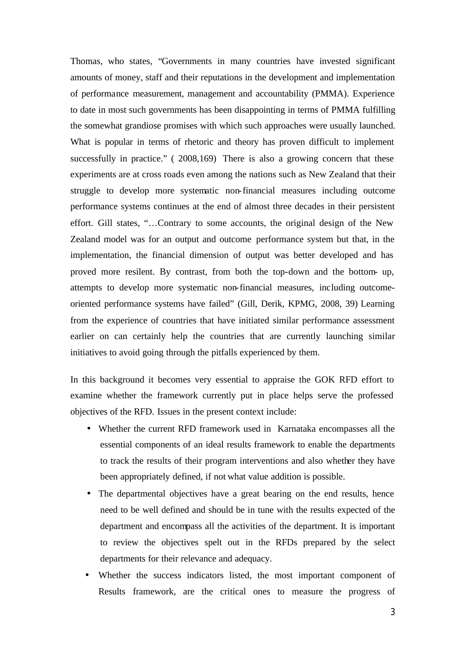Thomas, who states, "Governments in many countries have invested significant amounts of money, staff and their reputations in the development and implementation of performance measurement, management and accountability (PMMA). Experience to date in most such governments has been disappointing in terms of PMMA fulfilling the somewhat grandiose promises with which such approaches were usually launched. What is popular in terms of rhetoric and theory has proven difficult to implement successfully in practice." ( 2008,169) There is also a growing concern that these experiments are at cross roads even among the nations such as New Zealand that their struggle to develop more systematic non-financial measures including outcome performance systems continues at the end of almost three decades in their persistent effort. Gill states, "…Contrary to some accounts, the original design of the New Zealand model was for an output and outcome performance system but that, in the implementation, the financial dimension of output was better developed and has proved more resilent. By contrast, from both the top-down and the bottom- up, attempts to develop more systematic non-financial measures, including outcomeoriented performance systems have failed" (Gill, Derik, KPMG, 2008, 39) Learning from the experience of countries that have initiated similar performance assessment earlier on can certainly help the countries that are currently launching similar initiatives to avoid going through the pitfalls experienced by them.

In this background it becomes very essential to appraise the GOK RFD effort to examine whether the framework currently put in place helps serve the professed objectives of the RFD. Issues in the present context include:

- Whether the current RFD framework used in Karnataka encompasses all the essential components of an ideal results framework to enable the departments to track the results of their program interventions and also whether they have been appropriately defined, if not what value addition is possible.
- The departmental objectives have a great bearing on the end results, hence need to be well defined and should be in tune with the results expected of the department and encompass all the activities of the department. It is important to review the objectives spelt out in the RFDs prepared by the select departments for their relevance and adequacy.
- Whether the success indicators listed, the most important component of Results framework, are the critical ones to measure the progress of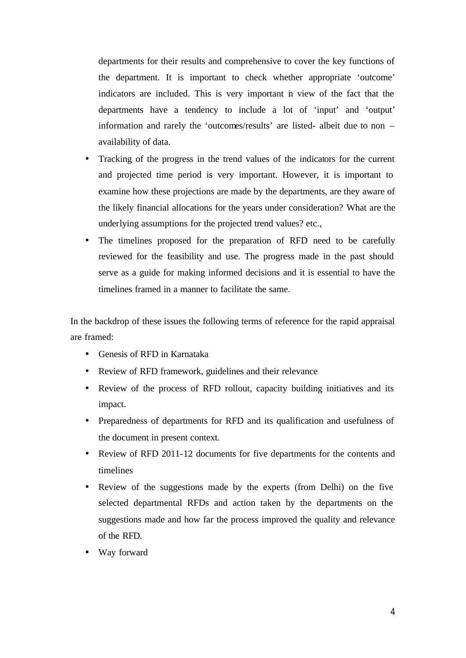departments for their results and comprehensive to cover the key functions of the department. It is important to check whether appropriate 'outcome' indicators are included. This is very important in view of the fact that the departments have a tendency to include a lot of 'input' and 'output' information and rarely the 'outcomes/results' are listed- albeit due to non – availability of data.

- Tracking of the progress in the trend values of the indicators for the current and projected time period is very important. However, it is important to examine how these projections are made by the departments, are they aware of the likely financial allocations for the years under consideration? What are the underlying assumptions for the projected trend values? etc.,
- The timelines proposed for the preparation of RFD need to be carefully reviewed for the feasibility and use. The progress made in the past should serve as a guide for making informed decisions and it is essential to have the timelines framed in a manner to facilitate the same.

In the backdrop of these issues the following terms of reference for the rapid appraisal are framed:

- Genesis of RFD in Karnataka
- Review of RFD framework, guidelines and their relevance
- Review of the process of RFD rollout, capacity building initiatives and its impact.
- Preparedness of departments for RFD and its qualification and usefulness of the document in present context.
- Review of RFD 2011-12 documents for five departments for the contents and timelines
- Review of the suggestions made by the experts (from Delhi) on the five selected departmental RFDs and action taken by the departments on the suggestions made and how far the process improved the quality and relevance of the RFD.
- Way forward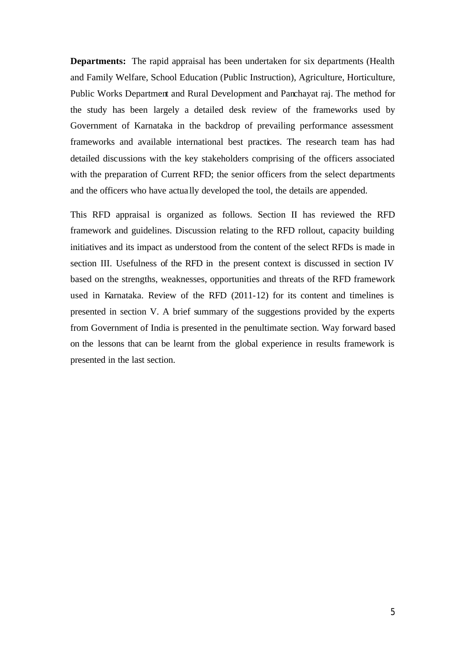**Departments:** The rapid appraisal has been undertaken for six departments (Health and Family Welfare, School Education (Public Instruction), Agriculture, Horticulture, Public Works Department and Rural Development and Panchayat raj. The method for the study has been largely a detailed desk review of the frameworks used by Government of Karnataka in the backdrop of prevailing performance assessment frameworks and available international best practices. The research team has had detailed discussions with the key stakeholders comprising of the officers associated with the preparation of Current RFD; the senior officers from the select departments and the officers who have actua lly developed the tool, the details are appended.

This RFD appraisal is organized as follows. Section II has reviewed the RFD framework and guidelines. Discussion relating to the RFD rollout, capacity building initiatives and its impact as understood from the content of the select RFDs is made in section III. Usefulness of the RFD in the present context is discussed in section IV based on the strengths, weaknesses, opportunities and threats of the RFD framework used in Karnataka. Review of the RFD (2011-12) for its content and timelines is presented in section V. A brief summary of the suggestions provided by the experts from Government of India is presented in the penultimate section. Way forward based on the lessons that can be learnt from the global experience in results framework is presented in the last section.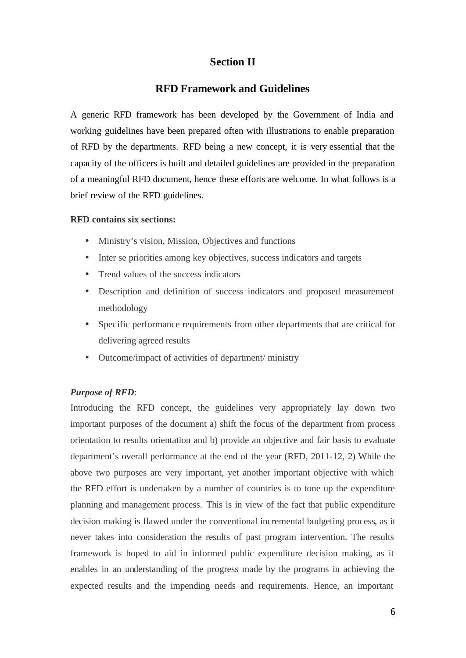## **Section II**

## **RFD Framework and Guidelines**

A generic RFD framework has been developed by the Government of India and working guidelines have been prepared often with illustrations to enable preparation of RFD by the departments. RFD being a new concept, it is very essential that the capacity of the officers is built and detailed guidelines are provided in the preparation of a meaningful RFD document, hence these efforts are welcome. In what follows is a brief review of the RFD guidelines.

### **RFD contains six sections:**

- Ministry's vision, Mission, Objectives and functions
- Inter se priorities among key objectives, success indicators and targets
- Trend values of the success indicators
- Description and definition of success indicators and proposed measurement methodology
- Specific performance requirements from other departments that are critical for delivering agreed results
- Outcome/impact of activities of department/ ministry

## *Purpose of RFD*:

Introducing the RFD concept, the guidelines very appropriately lay down two important purposes of the document a) shift the focus of the department from process orientation to results orientation and b) provide an objective and fair basis to evaluate department's overall performance at the end of the year (RFD, 2011-12, 2) While the above two purposes are very important, yet another important objective with which the RFD effort is undertaken by a number of countries is to tone up the expenditure planning and management process. This is in view of the fact that public expenditure decision making is flawed under the conventional incremental budgeting process, as it never takes into consideration the results of past program intervention. The results framework is hoped to aid in informed public expenditure decision making, as it enables in an understanding of the progress made by the programs in achieving the expected results and the impending needs and requirements. Hence, an important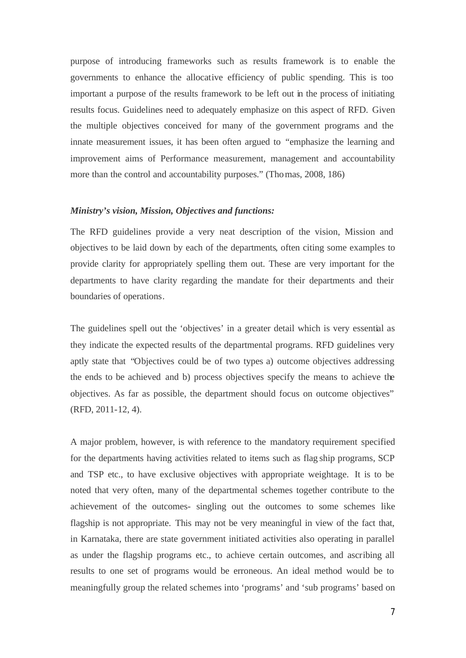purpose of introducing frameworks such as results framework is to enable the governments to enhance the allocative efficiency of public spending. This is too important a purpose of the results framework to be left out in the process of initiating results focus. Guidelines need to adequately emphasize on this aspect of RFD. Given the multiple objectives conceived for many of the government programs and the innate measurement issues, it has been often argued to "emphasize the learning and improvement aims of Performance measurement, management and accountability more than the control and accountability purposes." (Thomas, 2008, 186)

#### *Ministry's vision, Mission, Objectives and functions:*

The RFD guidelines provide a very neat description of the vision, Mission and objectives to be laid down by each of the departments, often citing some examples to provide clarity for appropriately spelling them out. These are very important for the departments to have clarity regarding the mandate for their departments and their boundaries of operations.

The guidelines spell out the 'objectives' in a greater detail which is very essential as they indicate the expected results of the departmental programs. RFD guidelines very aptly state that "Objectives could be of two types a) outcome objectives addressing the ends to be achieved and b) process objectives specify the means to achieve the objectives. As far as possible, the department should focus on outcome objectives" (RFD, 2011-12, 4).

A major problem, however, is with reference to the mandatory requirement specified for the departments having activities related to items such as flag ship programs, SCP and TSP etc., to have exclusive objectives with appropriate weightage. It is to be noted that very often, many of the departmental schemes together contribute to the achievement of the outcomes- singling out the outcomes to some schemes like flagship is not appropriate. This may not be very meaningful in view of the fact that, in Karnataka, there are state government initiated activities also operating in parallel as under the flagship programs etc., to achieve certain outcomes, and ascribing all results to one set of programs would be erroneous. An ideal method would be to meaningfully group the related schemes into 'programs' and 'sub programs' based on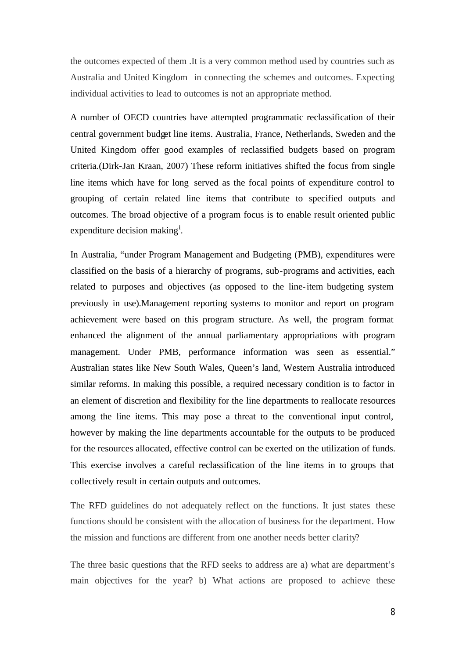the outcomes expected of them .It is a very common method used by countries such as Australia and United Kingdom in connecting the schemes and outcomes. Expecting individual activities to lead to outcomes is not an appropriate method.

A number of OECD countries have attempted programmatic reclassification of their central government budget line items. Australia, France, Netherlands, Sweden and the United Kingdom offer good examples of reclassified budgets based on program criteria.(Dirk-Jan Kraan, 2007) These reform initiatives shifted the focus from single line items which have for long served as the focal points of expenditure control to grouping of certain related line items that contribute to specified outputs and outcomes. The broad objective of a program focus is to enable result oriented public expenditure decision making<sup>i</sup>.

In Australia, "under Program Management and Budgeting (PMB), expenditures were classified on the basis of a hierarchy of programs, sub-programs and activities, each related to purposes and objectives (as opposed to the line-item budgeting system previously in use).Management reporting systems to monitor and report on program achievement were based on this program structure. As well, the program format enhanced the alignment of the annual parliamentary appropriations with program management. Under PMB, performance information was seen as essential." Australian states like New South Wales, Queen's land, Western Australia introduced similar reforms. In making this possible, a required necessary condition is to factor in an element of discretion and flexibility for the line departments to reallocate resources among the line items. This may pose a threat to the conventional input control, however by making the line departments accountable for the outputs to be produced for the resources allocated, effective control can be exerted on the utilization of funds. This exercise involves a careful reclassification of the line items in to groups that collectively result in certain outputs and outcomes.

The RFD guidelines do not adequately reflect on the functions. It just states these functions should be consistent with the allocation of business for the department. How the mission and functions are different from one another needs better clarity?

The three basic questions that the RFD seeks to address are a) what are department's main objectives for the year? b) What actions are proposed to achieve these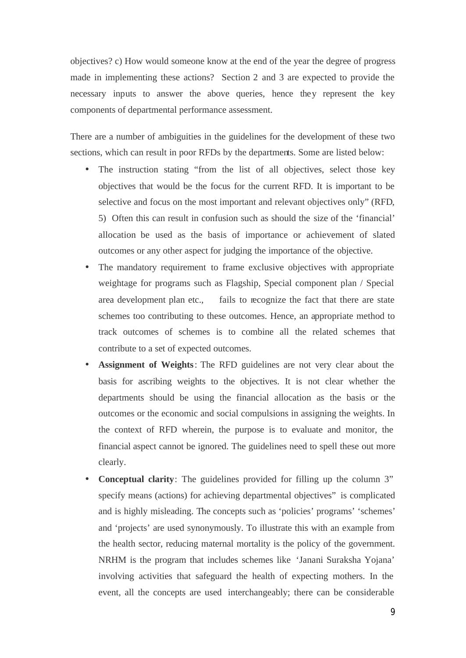objectives? c) How would someone know at the end of the year the degree of progress made in implementing these actions? Section 2 and 3 are expected to provide the necessary inputs to answer the above queries, hence they represent the key components of departmental performance assessment.

There are a number of ambiguities in the guidelines for the development of these two sections, which can result in poor RFDs by the departments. Some are listed below:

- The instruction stating "from the list of all objectives, select those key objectives that would be the focus for the current RFD. It is important to be selective and focus on the most important and relevant objectives only" (RFD, 5) Often this can result in confusion such as should the size of the 'financial' allocation be used as the basis of importance or achievement of slated outcomes or any other aspect for judging the importance of the objective.
- The mandatory requirement to frame exclusive objectives with appropriate weightage for programs such as Flagship, Special component plan / Special area development plan etc., fails to recognize the fact that there are state schemes too contributing to these outcomes. Hence, an appropriate method to track outcomes of schemes is to combine all the related schemes that contribute to a set of expected outcomes.
- **Assignment of Weights**: The RFD guidelines are not very clear about the basis for ascribing weights to the objectives. It is not clear whether the departments should be using the financial allocation as the basis or the outcomes or the economic and social compulsions in assigning the weights. In the context of RFD wherein, the purpose is to evaluate and monitor, the financial aspect cannot be ignored. The guidelines need to spell these out more clearly.
- **Conceptual clarity**: The guidelines provided for filling up the column 3" specify means (actions) for achieving departmental objectives" is complicated and is highly misleading. The concepts such as 'policies' programs' 'schemes' and 'projects' are used synonymously. To illustrate this with an example from the health sector, reducing maternal mortality is the policy of the government. NRHM is the program that includes schemes like 'Janani Suraksha Yojana' involving activities that safeguard the health of expecting mothers. In the event, all the concepts are used interchangeably; there can be considerable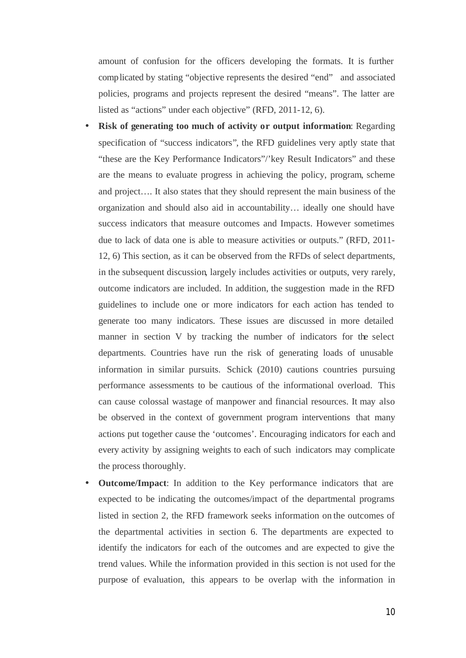amount of confusion for the officers developing the formats. It is further complicated by stating "objective represents the desired "end" and associated policies, programs and projects represent the desired "means". The latter are listed as "actions" under each objective" (RFD, 2011-12, 6).

- **Risk of generating too much of activity or output information**: Regarding specification of "success indicators", the RFD guidelines very aptly state that "these are the Key Performance Indicators"/'key Result Indicators" and these are the means to evaluate progress in achieving the policy, program, scheme and project…. It also states that they should represent the main business of the organization and should also aid in accountability… ideally one should have success indicators that measure outcomes and Impacts. However sometimes due to lack of data one is able to measure activities or outputs." (RFD, 2011- 12, 6) This section, as it can be observed from the RFDs of select departments, in the subsequent discussion, largely includes activities or outputs, very rarely, outcome indicators are included. In addition, the suggestion made in the RFD guidelines to include one or more indicators for each action has tended to generate too many indicators. These issues are discussed in more detailed manner in section V by tracking the number of indicators for the select departments. Countries have run the risk of generating loads of unusable information in similar pursuits. Schick (2010) cautions countries pursuing performance assessments to be cautious of the informational overload. This can cause colossal wastage of manpower and financial resources. It may also be observed in the context of government program interventions that many actions put together cause the 'outcomes'. Encouraging indicators for each and every activity by assigning weights to each of such indicators may complicate the process thoroughly.
- **Outcome/Impact**: In addition to the Key performance indicators that are expected to be indicating the outcomes/impact of the departmental programs listed in section 2, the RFD framework seeks information on the outcomes of the departmental activities in section 6. The departments are expected to identify the indicators for each of the outcomes and are expected to give the trend values. While the information provided in this section is not used for the purpose of evaluation, this appears to be overlap with the information in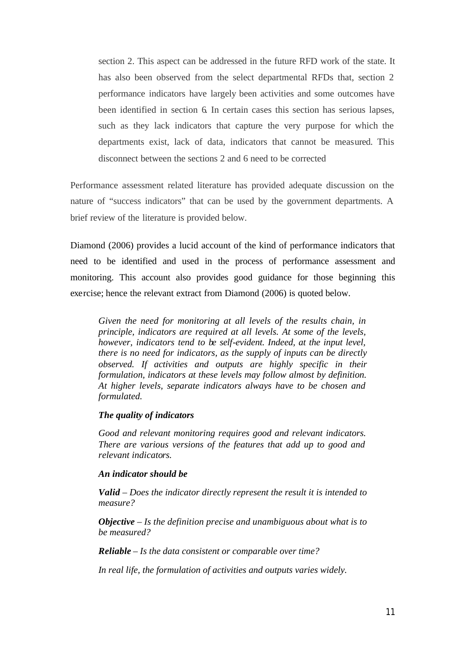section 2. This aspect can be addressed in the future RFD work of the state. It has also been observed from the select departmental RFDs that, section 2 performance indicators have largely been activities and some outcomes have been identified in section 6. In certain cases this section has serious lapses, such as they lack indicators that capture the very purpose for which the departments exist, lack of data, indicators that cannot be measured. This disconnect between the sections 2 and 6 need to be corrected

Performance assessment related literature has provided adequate discussion on the nature of "success indicators" that can be used by the government departments. A brief review of the literature is provided below.

Diamond (2006) provides a lucid account of the kind of performance indicators that need to be identified and used in the process of performance assessment and monitoring. This account also provides good guidance for those beginning this exercise; hence the relevant extract from Diamond (2006) is quoted below.

*Given the need for monitoring at all levels of the results chain, in principle, indicators are required at all levels. At some of the levels, however, indicators tend to be self-evident. Indeed, at the input level, there is no need for indicators, as the supply of inputs can be directly observed. If activities and outputs are highly specific in their formulation, indicators at these levels may follow almost by definition. At higher levels, separate indicators always have to be chosen and formulated.*

#### *The quality of indicators*

*Good and relevant monitoring requires good and relevant indicators. There are various versions of the features that add up to good and relevant indicators.* 

#### *An indicator should be*

*Valid – Does the indicator directly represent the result it is intended to measure?*

*Objective – Is the definition precise and unambiguous about what is to be measured?*

*Reliable – Is the data consistent or comparable over time?*

*In real life, the formulation of activities and outputs varies widely.*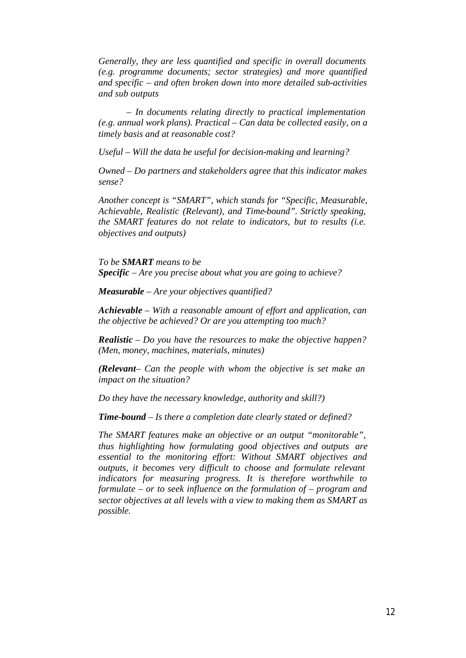*Generally, they are less quantified and specific in overall documents (e.g. programme documents; sector strategies) and more quantified and specific – and often broken down into more detailed sub-activities and sub outputs*

*– In documents relating directly to practical implementation (e.g. annual work plans). Practical – Can data be collected easily, on a timely basis and at reasonable cost?* 

*Useful – Will the data be useful for decision-making and learning?*

*Owned – Do partners and stakeholders agree that this indicator makes sense?*

*Another concept is "SMART", which stands for "Specific, Measurable, Achievable, Realistic (Relevant), and Time-bound". Strictly speaking, the SMART features do not relate to indicators, but to results (i.e. objectives and outputs)*

*To be SMART means to be Specific – Are you precise about what you are going to achieve?*

*Measurable – Are your objectives quantified?*

*Achievable – With a reasonable amount of effort and application, can the objective be achieved? Or are you attempting too much?*

*Realistic – Do you have the resources to make the objective happen? (Men, money, machines, materials, minutes)*

*(Relevant– Can the people with whom the objective is set make an impact on the situation?*

*Do they have the necessary knowledge, authority and skill?)*

*Time-bound – Is there a completion date clearly stated or defined?*

*The SMART features make an objective or an output "monitorable", thus highlighting how formulating good objectives and outputs are essential to the monitoring effort: Without SMART objectives and outputs, it becomes very difficult to choose and formulate relevant indicators for measuring progress. It is therefore worthwhile to formulate – or to seek influence on the formulation of – program and sector objectives at all levels with a view to making them as SMART as possible.*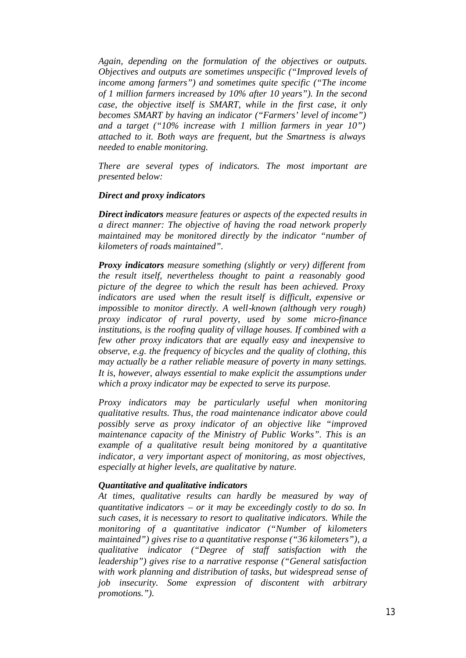*Again, depending on the formulation of the objectives or outputs. Objectives and outputs are sometimes unspecific ("Improved levels of income among farmers") and sometimes quite specific ("The income of 1 million farmers increased by 10% after 10 years"). In the second case, the objective itself is SMART, while in the first case, it only becomes SMART by having an indicator ("Farmers' level of income") and a target ("10% increase with 1 million farmers in year 10") attached to it. Both ways are frequent, but the Smartness is always needed to enable monitoring.*

*There are several types of indicators. The most important are presented below:*

### *Direct and proxy indicators*

*Direct indicators measure features or aspects of the expected results in a direct manner: The objective of having the road network properly maintained may be monitored directly by the indicator "number of kilometers of roads maintained".*

*Proxy indicators measure something (slightly or very) different from the result itself, nevertheless thought to paint a reasonably good picture of the degree to which the result has been achieved. Proxy indicators are used when the result itself is difficult, expensive or impossible to monitor directly. A well-known (although very rough) proxy indicator of rural poverty, used by some micro-finance institutions, is the roofing quality of village houses. If combined with a few other proxy indicators that are equally easy and inexpensive to observe, e.g. the frequency of bicycles and the quality of clothing, this may actually be a rather reliable measure of poverty in many settings. It is, however, always essential to make explicit the assumptions under which a proxy indicator may be expected to serve its purpose.*

*Proxy indicators may be particularly useful when monitoring qualitative results. Thus, the road maintenance indicator above could possibly serve as proxy indicator of an objective like "improved maintenance capacity of the Ministry of Public Works". This is an example of a qualitative result being monitored by a quantitative indicator, a very important aspect of monitoring, as most objectives, especially at higher levels, are qualitative by nature.*

#### *Quantitative and qualitative indicators*

*At times, qualitative results can hardly be measured by way of quantitative indicators – or it may be exceedingly costly to do so. In such cases, it is necessary to resort to qualitative indicators. While the monitoring of a quantitative indicator ("Number of kilometers maintained") gives rise to a quantitative response ("36 kilometers"), a qualitative indicator ("Degree of staff satisfaction with the leadership") gives rise to a narrative response ("General satisfaction with work planning and distribution of tasks, but widespread sense of job insecurity. Some expression of discontent with arbitrary promotions.").*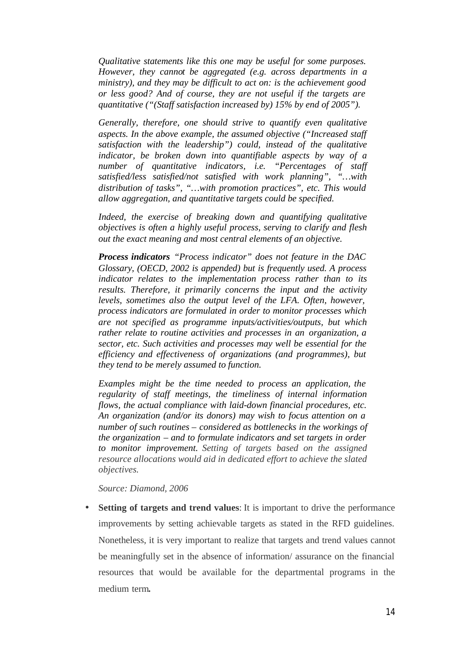*Qualitative statements like this one may be useful for some purposes. However, they cannot be aggregated (e.g. across departments in a ministry), and they may be difficult to act on: is the achievement good or less good? And of course, they are not useful if the targets are quantitative ("(Staff satisfaction increased by) 15% by end of 2005").*

*Generally, therefore, one should strive to quantify even qualitative aspects. In the above example, the assumed objective ("Increased staff satisfaction with the leadership") could, instead of the qualitative indicator, be broken down into quantifiable aspects by way of a number of quantitative indicators, i.e. "Percentages of staff satisfied/less satisfied/not satisfied with work planning", "…with distribution of tasks", "…with promotion practices", etc. This would allow aggregation, and quantitative targets could be specified.*

*Indeed, the exercise of breaking down and quantifying qualitative objectives is often a highly useful process, serving to clarify and flesh out the exact meaning and most central elements of an objective.*

*Process indicators "Process indicator" does not feature in the DAC Glossary, (OECD, 2002 is appended) but is frequently used. A process indicator relates to the implementation process rather than to its results. Therefore, it primarily concerns the input and the activity levels, sometimes also the output level of the LFA. Often, however, process indicators are formulated in order to monitor processes which are not specified as programme inputs/activities/outputs, but which rather relate to routine activities and processes in an organization, a sector, etc. Such activities and processes may well be essential for the efficiency and effectiveness of organizations (and programmes), but they tend to be merely assumed to function.*

*Examples might be the time needed to process an application, the regularity of staff meetings, the timeliness of internal information flows, the actual compliance with laid-down financial procedures, etc. An organization (and/or its donors) may wish to focus attention on a number of such routines – considered as bottlenecks in the workings of the organization – and to formulate indicators and set targets in order to monitor improvement. Setting of targets based on the assigned resource allocations would aid in dedicated effort to achieve the slated objectives.* 

*Source: Diamond, 2006*

• **Setting of targets and trend values**: It is important to drive the performance improvements by setting achievable targets as stated in the RFD guidelines. Nonetheless, it is very important to realize that targets and trend values cannot be meaningfully set in the absence of information/ assurance on the financial resources that would be available for the departmental programs in the medium term**.**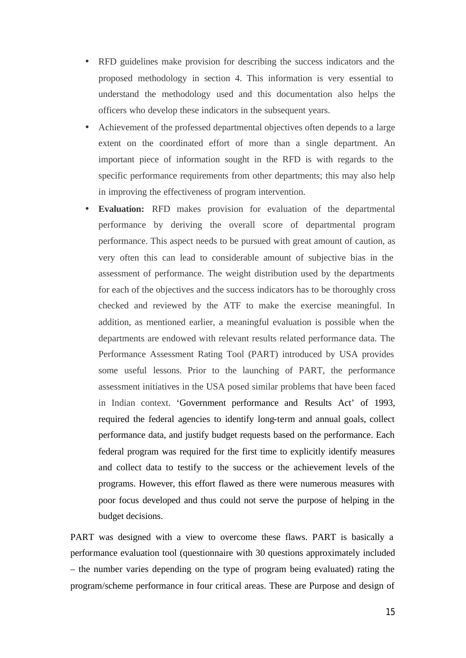- RFD guidelines make provision for describing the success indicators and the proposed methodology in section 4. This information is very essential to understand the methodology used and this documentation also helps the officers who develop these indicators in the subsequent years.
- Achievement of the professed departmental objectives often depends to a large extent on the coordinated effort of more than a single department. An important piece of information sought in the RFD is with regards to the specific performance requirements from other departments; this may also help in improving the effectiveness of program intervention.
- **Evaluation:** RFD makes provision for evaluation of the departmental performance by deriving the overall score of departmental program performance. This aspect needs to be pursued with great amount of caution, as very often this can lead to considerable amount of subjective bias in the assessment of performance. The weight distribution used by the departments for each of the objectives and the success indicators has to be thoroughly cross checked and reviewed by the ATF to make the exercise meaningful. In addition, as mentioned earlier, a meaningful evaluation is possible when the departments are endowed with relevant results related performance data. The Performance Assessment Rating Tool (PART) introduced by USA provides some useful lessons. Prior to the launching of PART, the performance assessment initiatives in the USA posed similar problems that have been faced in Indian context. 'Government performance and Results Act' of 1993, required the federal agencies to identify long-term and annual goals, collect performance data, and justify budget requests based on the performance. Each federal program was required for the first time to explicitly identify measures and collect data to testify to the success or the achievement levels of the programs. However, this effort flawed as there were numerous measures with poor focus developed and thus could not serve the purpose of helping in the budget decisions.

PART was designed with a view to overcome these flaws. PART is basically a performance evaluation tool (questionnaire with 30 questions approximately included – the number varies depending on the type of program being evaluated) rating the program/scheme performance in four critical areas. These are Purpose and design of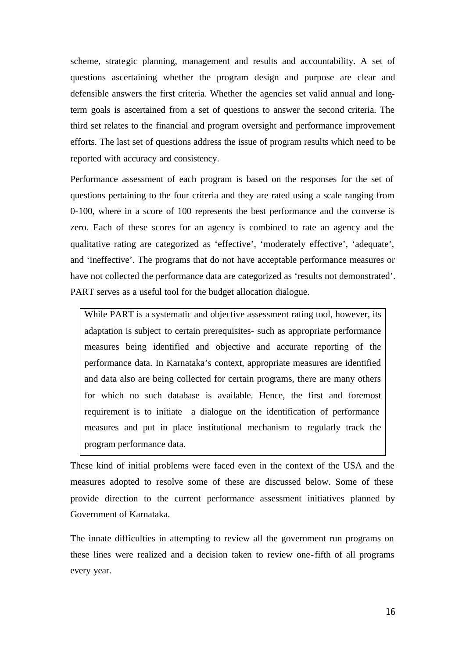scheme, strategic planning, management and results and accountability. A set of questions ascertaining whether the program design and purpose are clear and defensible answers the first criteria. Whether the agencies set valid annual and longterm goals is ascertained from a set of questions to answer the second criteria. The third set relates to the financial and program oversight and performance improvement efforts. The last set of questions address the issue of program results which need to be reported with accuracy and consistency.

Performance assessment of each program is based on the responses for the set of questions pertaining to the four criteria and they are rated using a scale ranging from 0-100, where in a score of 100 represents the best performance and the converse is zero. Each of these scores for an agency is combined to rate an agency and the qualitative rating are categorized as 'effective', 'moderately effective', 'adequate', and 'ineffective'. The programs that do not have acceptable performance measures or have not collected the performance data are categorized as 'results not demonstrated'. PART serves as a useful tool for the budget allocation dialogue.

While PART is a systematic and objective assessment rating tool, however, its adaptation is subject to certain prerequisites- such as appropriate performance measures being identified and objective and accurate reporting of the performance data. In Karnataka's context, appropriate measures are identified and data also are being collected for certain programs, there are many others for which no such database is available. Hence, the first and foremost requirement is to initiate a dialogue on the identification of performance measures and put in place institutional mechanism to regularly track the program performance data.

These kind of initial problems were faced even in the context of the USA and the measures adopted to resolve some of these are discussed below. Some of these provide direction to the current performance assessment initiatives planned by Government of Karnataka.

The innate difficulties in attempting to review all the government run programs on these lines were realized and a decision taken to review one-fifth of all programs every year.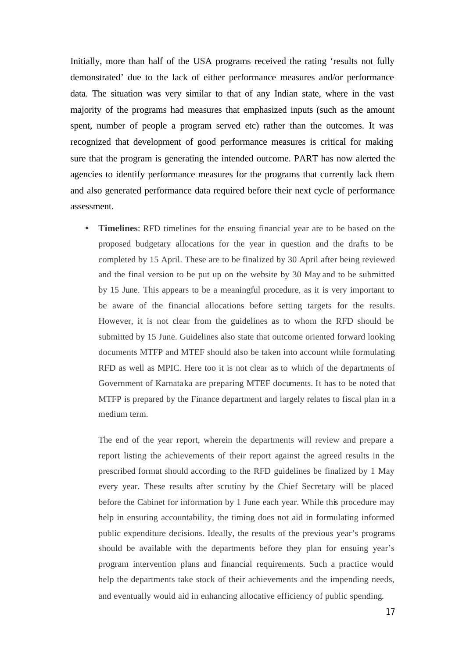Initially, more than half of the USA programs received the rating 'results not fully demonstrated' due to the lack of either performance measures and/or performance data. The situation was very similar to that of any Indian state, where in the vast majority of the programs had measures that emphasized inputs (such as the amount spent, number of people a program served etc) rather than the outcomes. It was recognized that development of good performance measures is critical for making sure that the program is generating the intended outcome. PART has now alerted the agencies to identify performance measures for the programs that currently lack them and also generated performance data required before their next cycle of performance assessment.

**Timelines:** RFD timelines for the ensuing financial year are to be based on the proposed budgetary allocations for the year in question and the drafts to be completed by 15 April. These are to be finalized by 30 April after being reviewed and the final version to be put up on the website by 30 May and to be submitted by 15 June. This appears to be a meaningful procedure, as it is very important to be aware of the financial allocations before setting targets for the results. However, it is not clear from the guidelines as to whom the RFD should be submitted by 15 June. Guidelines also state that outcome oriented forward looking documents MTFP and MTEF should also be taken into account while formulating RFD as well as MPIC. Here too it is not clear as to which of the departments of Government of Karnataka are preparing MTEF documents. It has to be noted that MTFP is prepared by the Finance department and largely relates to fiscal plan in a medium term.

The end of the year report, wherein the departments will review and prepare a report listing the achievements of their report against the agreed results in the prescribed format should according to the RFD guidelines be finalized by 1 May every year. These results after scrutiny by the Chief Secretary will be placed before the Cabinet for information by 1 June each year. While this procedure may help in ensuring accountability, the timing does not aid in formulating informed public expenditure decisions. Ideally, the results of the previous year's programs should be available with the departments before they plan for ensuing year's program intervention plans and financial requirements. Such a practice would help the departments take stock of their achievements and the impending needs, and eventually would aid in enhancing allocative efficiency of public spending.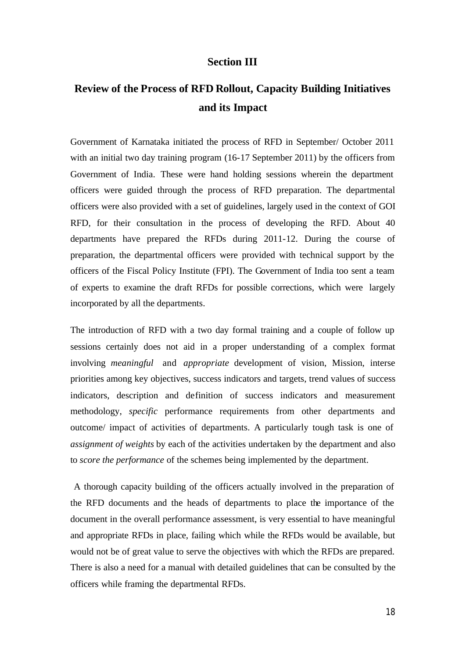### **Section III**

# **Review of the Process of RFD Rollout, Capacity Building Initiatives and its Impact**

Government of Karnataka initiated the process of RFD in September/ October 2011 with an initial two day training program (16-17 September 2011) by the officers from Government of India. These were hand holding sessions wherein the department officers were guided through the process of RFD preparation. The departmental officers were also provided with a set of guidelines, largely used in the context of GOI RFD, for their consultation in the process of developing the RFD. About 40 departments have prepared the RFDs during 2011-12. During the course of preparation, the departmental officers were provided with technical support by the officers of the Fiscal Policy Institute (FPI). The Government of India too sent a team of experts to examine the draft RFDs for possible corrections, which were largely incorporated by all the departments.

The introduction of RFD with a two day formal training and a couple of follow up sessions certainly does not aid in a proper understanding of a complex format involving *meaningful* and *appropriate* development of vision, Mission, interse priorities among key objectives, success indicators and targets, trend values of success indicators, description and definition of success indicators and measurement methodology, *specific* performance requirements from other departments and outcome/ impact of activities of departments. A particularly tough task is one of *assignment of weights* by each of the activities undertaken by the department and also to *score the performance* of the schemes being implemented by the department.

 A thorough capacity building of the officers actually involved in the preparation of the RFD documents and the heads of departments to place the importance of the document in the overall performance assessment, is very essential to have meaningful and appropriate RFDs in place, failing which while the RFDs would be available, but would not be of great value to serve the objectives with which the RFDs are prepared. There is also a need for a manual with detailed guidelines that can be consulted by the officers while framing the departmental RFDs.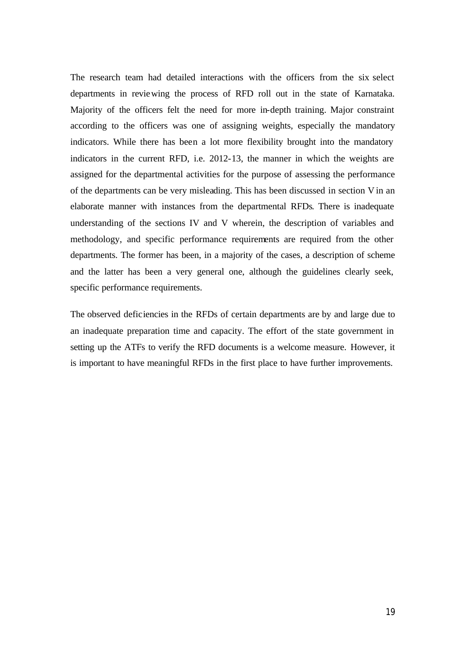The research team had detailed interactions with the officers from the six select departments in reviewing the process of RFD roll out in the state of Karnataka. Majority of the officers felt the need for more in-depth training. Major constraint according to the officers was one of assigning weights, especially the mandatory indicators. While there has been a lot more flexibility brought into the mandatory indicators in the current RFD, i.e. 2012-13, the manner in which the weights are assigned for the departmental activities for the purpose of assessing the performance of the departments can be very misleading. This has been discussed in section V in an elaborate manner with instances from the departmental RFDs. There is inadequate understanding of the sections IV and V wherein, the description of variables and methodology, and specific performance requirements are required from the other departments. The former has been, in a majority of the cases, a description of scheme and the latter has been a very general one, although the guidelines clearly seek, specific performance requirements.

The observed deficiencies in the RFDs of certain departments are by and large due to an inadequate preparation time and capacity. The effort of the state government in setting up the ATFs to verify the RFD documents is a welcome measure. However, it is important to have meaningful RFDs in the first place to have further improvements.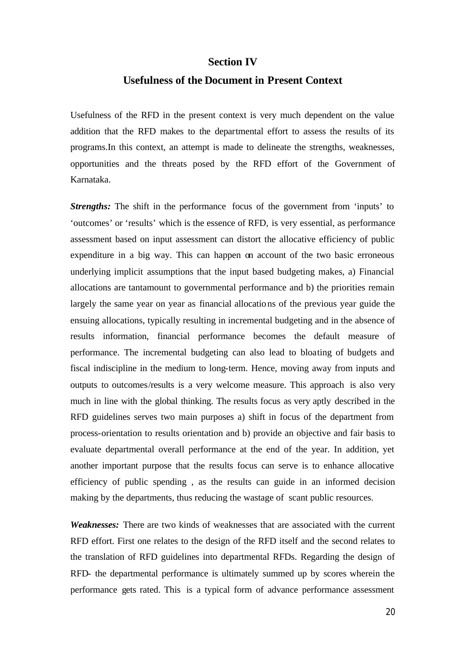### **Section IV**

## **Usefulness of the Document in Present Context**

Usefulness of the RFD in the present context is very much dependent on the value addition that the RFD makes to the departmental effort to assess the results of its programs.In this context, an attempt is made to delineate the strengths, weaknesses, opportunities and the threats posed by the RFD effort of the Government of Karnataka.

*Strengths:* The shift in the performance focus of the government from 'inputs' to 'outcomes' or 'results' which is the essence of RFD, is very essential, as performance assessment based on input assessment can distort the allocative efficiency of public expenditure in a big way. This can happen on account of the two basic erroneous underlying implicit assumptions that the input based budgeting makes, a) Financial allocations are tantamount to governmental performance and b) the priorities remain largely the same year on year as financial allocations of the previous year guide the ensuing allocations, typically resulting in incremental budgeting and in the absence of results information, financial performance becomes the default measure of performance. The incremental budgeting can also lead to bloating of budgets and fiscal indiscipline in the medium to long-term. Hence, moving away from inputs and outputs to outcomes/results is a very welcome measure. This approach is also very much in line with the global thinking. The results focus as very aptly described in the RFD guidelines serves two main purposes a) shift in focus of the department from process-orientation to results orientation and b) provide an objective and fair basis to evaluate departmental overall performance at the end of the year. In addition, yet another important purpose that the results focus can serve is to enhance allocative efficiency of public spending , as the results can guide in an informed decision making by the departments, thus reducing the wastage of scant public resources.

*Weaknesses:* There are two kinds of weaknesses that are associated with the current RFD effort. First one relates to the design of the RFD itself and the second relates to the translation of RFD guidelines into departmental RFDs. Regarding the design of RFD- the departmental performance is ultimately summed up by scores wherein the performance gets rated. This is a typical form of advance performance assessment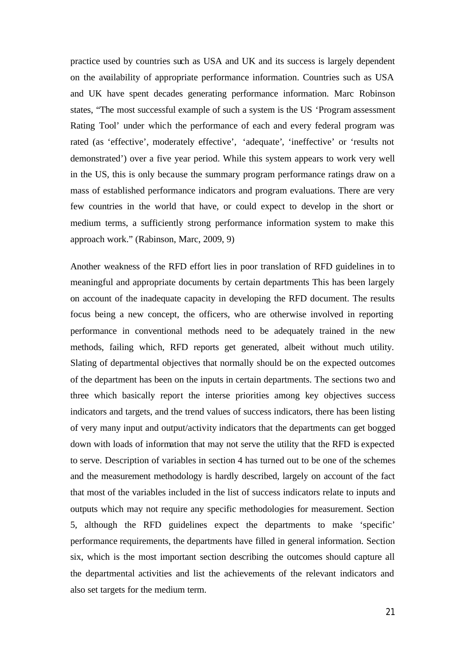practice used by countries such as USA and UK and its success is largely dependent on the availability of appropriate performance information. Countries such as USA and UK have spent decades generating performance information. Marc Robinson states, "The most successful example of such a system is the US 'Program assessment Rating Tool' under which the performance of each and every federal program was rated (as 'effective', moderately effective', 'adequate', 'ineffective' or 'results not demonstrated') over a five year period. While this system appears to work very well in the US, this is only because the summary program performance ratings draw on a mass of established performance indicators and program evaluations. There are very few countries in the world that have, or could expect to develop in the short or medium terms, a sufficiently strong performance information system to make this approach work." (Rabinson, Marc, 2009, 9)

Another weakness of the RFD effort lies in poor translation of RFD guidelines in to meaningful and appropriate documents by certain departments This has been largely on account of the inadequate capacity in developing the RFD document. The results focus being a new concept, the officers, who are otherwise involved in reporting performance in conventional methods need to be adequately trained in the new methods, failing which, RFD reports get generated, albeit without much utility. Slating of departmental objectives that normally should be on the expected outcomes of the department has been on the inputs in certain departments. The sections two and three which basically report the interse priorities among key objectives success indicators and targets, and the trend values of success indicators, there has been listing of very many input and output/activity indicators that the departments can get bogged down with loads of information that may not serve the utility that the RFD is expected to serve. Description of variables in section 4 has turned out to be one of the schemes and the measurement methodology is hardly described, largely on account of the fact that most of the variables included in the list of success indicators relate to inputs and outputs which may not require any specific methodologies for measurement. Section 5, although the RFD guidelines expect the departments to make 'specific' performance requirements, the departments have filled in general information. Section six, which is the most important section describing the outcomes should capture all the departmental activities and list the achievements of the relevant indicators and also set targets for the medium term.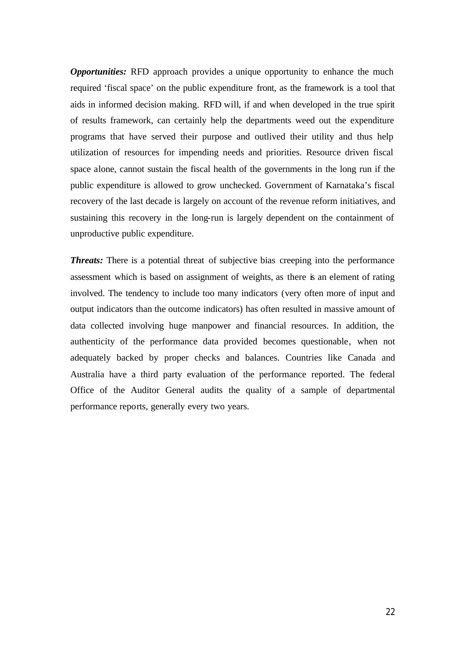*Opportunities:* RFD approach provides a unique opportunity to enhance the much required 'fiscal space' on the public expenditure front, as the framework is a tool that aids in informed decision making. RFD will, if and when developed in the true spirit of results framework, can certainly help the departments weed out the expenditure programs that have served their purpose and outlived their utility and thus help utilization of resources for impending needs and priorities. Resource driven fiscal space alone, cannot sustain the fiscal health of the governments in the long run if the public expenditure is allowed to grow unchecked. Government of Karnataka's fiscal recovery of the last decade is largely on account of the revenue reform initiatives, and sustaining this recovery in the long-run is largely dependent on the containment of unproductive public expenditure.

*Threats:* There is a potential threat of subjective bias creeping into the performance assessment which is based on assignment of weights, as there is an element of rating involved. The tendency to include too many indicators (very often more of input and output indicators than the outcome indicators) has often resulted in massive amount of data collected involving huge manpower and financial resources. In addition, the authenticity of the performance data provided becomes questionable, when not adequately backed by proper checks and balances. Countries like Canada and Australia have a third party evaluation of the performance reported. The federal Office of the Auditor General audits the quality of a sample of departmental performance reports, generally every two years.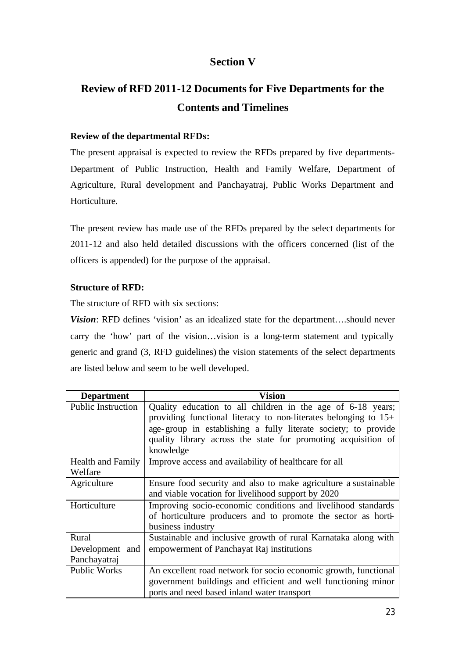# **Section V**

# **Review of RFD 2011-12 Documents for Five Departments for the Contents and Timelines**

## **Review of the departmental RFDs:**

The present appraisal is expected to review the RFDs prepared by five departments-Department of Public Instruction, Health and Family Welfare, Department of Agriculture, Rural development and Panchayatraj, Public Works Department and Horticulture.

The present review has made use of the RFDs prepared by the select departments for 2011-12 and also held detailed discussions with the officers concerned (list of the officers is appended) for the purpose of the appraisal.

### **Structure of RFD:**

The structure of RFD with six sections:

*Vision*: RFD defines 'vision' as an idealized state for the department....should never carry the 'how' part of the vision…vision is a long-term statement and typically generic and grand (3, RFD guidelines) the vision statements of the select departments are listed below and seem to be well developed.

| <b>Department</b>                   | <b>Vision</b>                                                                                                                                                                                                                                                                    |
|-------------------------------------|----------------------------------------------------------------------------------------------------------------------------------------------------------------------------------------------------------------------------------------------------------------------------------|
| <b>Public Instruction</b>           | Quality education to all children in the age of 6-18 years;<br>providing functional literacy to non-literates belonging to $15+$<br>age-group in establishing a fully literate society; to provide<br>quality library across the state for promoting acquisition of<br>knowledge |
| <b>Health and Family</b><br>Welfare | Improve access and availability of healthcare for all                                                                                                                                                                                                                            |
| Agriculture                         | Ensure food security and also to make agriculture a sustainable<br>and viable vocation for livelihood support by 2020                                                                                                                                                            |
| Horticulture                        | Improving socio-economic conditions and livelihood standards<br>of horticulture producers and to promote the sector as horti-<br>business industry                                                                                                                               |
| Rural                               | Sustainable and inclusive growth of rural Karnataka along with                                                                                                                                                                                                                   |
| Development and                     | empowerment of Panchayat Raj institutions                                                                                                                                                                                                                                        |
| Panchayatraj                        |                                                                                                                                                                                                                                                                                  |
| <b>Public Works</b>                 | An excellent road network for socio economic growth, functional                                                                                                                                                                                                                  |
|                                     | government buildings and efficient and well functioning minor                                                                                                                                                                                                                    |
|                                     | ports and need based inland water transport                                                                                                                                                                                                                                      |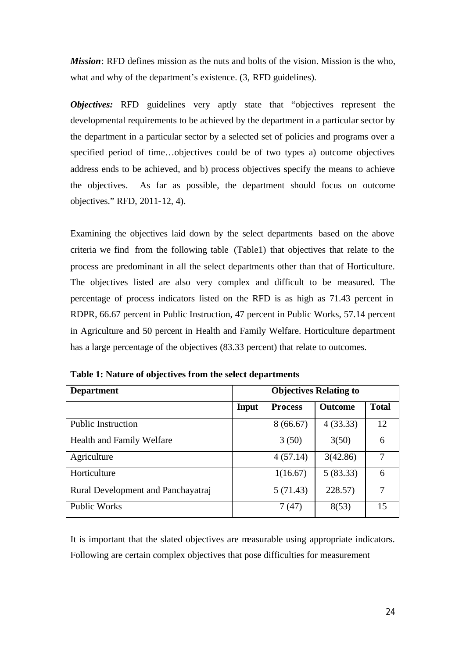*Mission*: RFD defines mission as the nuts and bolts of the vision. Mission is the who, what and why of the department's existence.  $(3, RFD$  guidelines).

*Objectives:* RFD guidelines very aptly state that "objectives represent the developmental requirements to be achieved by the department in a particular sector by the department in a particular sector by a selected set of policies and programs over a specified period of time…objectives could be of two types a) outcome objectives address ends to be achieved, and b) process objectives specify the means to achieve the objectives. As far as possible, the department should focus on outcome objectives." RFD, 2011-12, 4).

Examining the objectives laid down by the select departments based on the above criteria we find from the following table (Table1) that objectives that relate to the process are predominant in all the select departments other than that of Horticulture. The objectives listed are also very complex and difficult to be measured. The percentage of process indicators listed on the RFD is as high as 71.43 percent in RDPR, 66.67 percent in Public Instruction, 47 percent in Public Works, 57.14 percent in Agriculture and 50 percent in Health and Family Welfare. Horticulture department has a large percentage of the objectives (83.33 percent) that relate to outcomes.

| <b>Department</b>                  |              |                | <b>Objectives Relating to</b> |              |
|------------------------------------|--------------|----------------|-------------------------------|--------------|
|                                    | <b>Input</b> | <b>Process</b> | <b>Outcome</b>                | <b>Total</b> |
| <b>Public Instruction</b>          |              | 8(66.67)       | 4(33.33)                      | 12           |
| Health and Family Welfare          |              | 3(50)          | 3(50)                         | 6            |
| Agriculture                        |              | 4(57.14)       | 3(42.86)                      |              |
| Horticulture                       |              | 1(16.67)       | 5(83.33)                      | 6            |
| Rural Development and Panchayatraj |              | 5(71.43)       | 228.57)                       |              |
| <b>Public Works</b>                |              | 7(47)          | 8(53)                         | 15           |

**Table 1: Nature of objectives from the select departments**

It is important that the slated objectives are measurable using appropriate indicators. Following are certain complex objectives that pose difficulties for measurement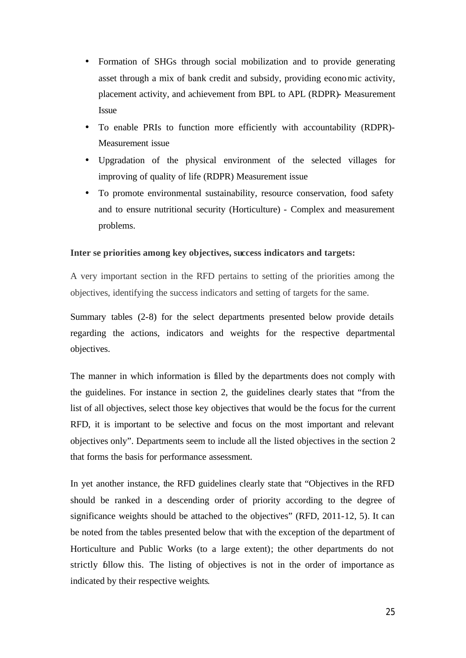- Formation of SHGs through social mobilization and to provide generating asset through a mix of bank credit and subsidy, providing economic activity, placement activity, and achievement from BPL to APL (RDPR)- Measurement Issue
- To enable PRIs to function more efficiently with accountability (RDPR)- Measurement issue
- Upgradation of the physical environment of the selected villages for improving of quality of life (RDPR) Measurement issue
- To promote environmental sustainability, resource conservation, food safety and to ensure nutritional security (Horticulture) - Complex and measurement problems.

### **Inter se priorities among key objectives, success indicators and targets:**

A very important section in the RFD pertains to setting of the priorities among the objectives, identifying the success indicators and setting of targets for the same.

Summary tables (2-8) for the select departments presented below provide details regarding the actions, indicators and weights for the respective departmental objectives.

The manner in which information is filled by the departments does not comply with the guidelines. For instance in section 2, the guidelines clearly states that "from the list of all objectives, select those key objectives that would be the focus for the current RFD, it is important to be selective and focus on the most important and relevant objectives only". Departments seem to include all the listed objectives in the section 2 that forms the basis for performance assessment.

In yet another instance, the RFD guidelines clearly state that "Objectives in the RFD should be ranked in a descending order of priority according to the degree of significance weights should be attached to the objectives" (RFD, 2011-12, 5). It can be noted from the tables presented below that with the exception of the department of Horticulture and Public Works (to a large extent); the other departments do not strictly follow this. The listing of objectives is not in the order of importance as indicated by their respective weights.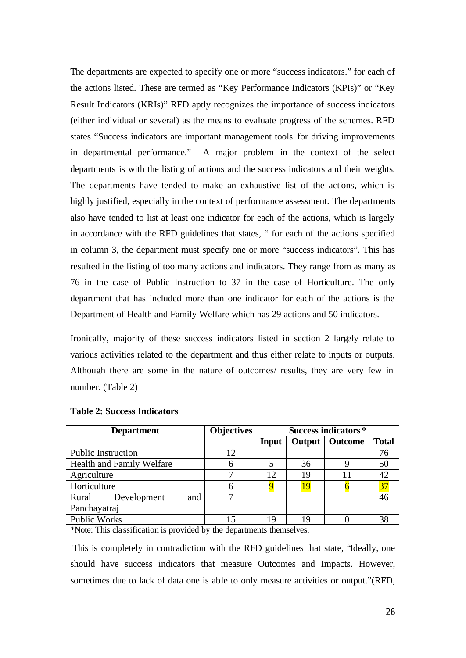The departments are expected to specify one or more "success indicators." for each of the actions listed. These are termed as "Key Performance Indicators (KPIs)" or "Key Result Indicators (KRIs)" RFD aptly recognizes the importance of success indicators (either individual or several) as the means to evaluate progress of the schemes. RFD states "Success indicators are important management tools for driving improvements in departmental performance." A major problem in the context of the select departments is with the listing of actions and the success indicators and their weights. The departments have tended to make an exhaustive list of the actions, which is highly justified, especially in the context of performance assessment. The departments also have tended to list at least one indicator for each of the actions, which is largely in accordance with the RFD guidelines that states, " for each of the actions specified in column 3, the department must specify one or more "success indicators". This has resulted in the listing of too many actions and indicators. They range from as many as 76 in the case of Public Instruction to 37 in the case of Horticulture. The only department that has included more than one indicator for each of the actions is the Department of Health and Family Welfare which has 29 actions and 50 indicators.

Ironically, majority of these success indicators listed in section 2 largely relate to various activities related to the department and thus either relate to inputs or outputs. Although there are some in the nature of outcomes/ results, they are very few in number. (Table 2)

| <b>Department</b>           | <b>Objectives</b> | Success indicators* |        |         |              |
|-----------------------------|-------------------|---------------------|--------|---------|--------------|
|                             |                   | <b>Input</b>        | Output | Outcome | <b>Total</b> |
| <b>Public Instruction</b>   | 12                |                     |        |         | 76           |
| Health and Family Welfare   | 6                 |                     | 36     |         | 50           |
| Agriculture                 |                   | 12                  | 19     |         |              |
| Horticulture                | h                 |                     | 19     |         |              |
| Development<br>Rural<br>and |                   |                     |        |         |              |
| Panchayatraj                |                   |                     |        |         |              |
| <b>Public Works</b>         |                   | 19                  | 19     |         |              |

#### **Table 2: Success Indicators**

\*Note: This classification is provided by the departments themselves.

This is completely in contradiction with the RFD guidelines that state, "Ideally, one should have success indicators that measure Outcomes and Impacts. However, sometimes due to lack of data one is able to only measure activities or output."(RFD,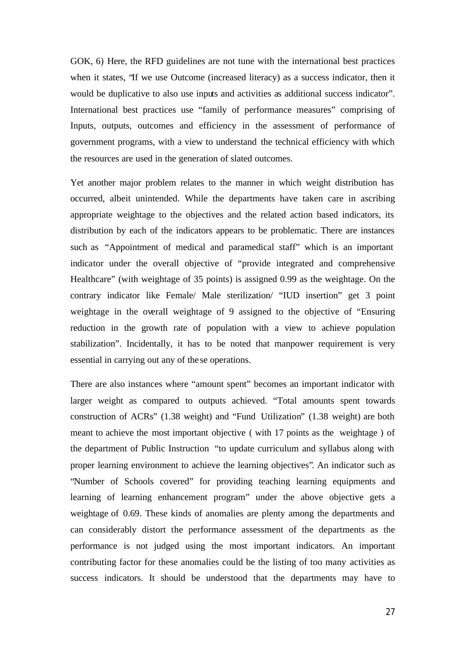GOK, 6) Here, the RFD guidelines are not tune with the international best practices when it states, "If we use Outcome (increased literacy) as a success indicator, then it would be duplicative to also use inputs and activities as additional success indicator". International best practices use "family of performance measures" comprising of Inputs, outputs, outcomes and efficiency in the assessment of performance of government programs, with a view to understand the technical efficiency with which the resources are used in the generation of slated outcomes.

Yet another major problem relates to the manner in which weight distribution has occurred, albeit unintended. While the departments have taken care in ascribing appropriate weightage to the objectives and the related action based indicators, its distribution by each of the indicators appears to be problematic. There are instances such as "Appointment of medical and paramedical staff" which is an important indicator under the overall objective of "provide integrated and comprehensive Healthcare" (with weightage of 35 points) is assigned 0.99 as the weightage. On the contrary indicator like Female/ Male sterilization/ "IUD insertion" get 3 point weightage in the overall weightage of 9 assigned to the objective of "Ensuring reduction in the growth rate of population with a view to achieve population stabilization". Incidentally, it has to be noted that manpower requirement is very essential in carrying out any of the se operations.

There are also instances where "amount spent" becomes an important indicator with larger weight as compared to outputs achieved. "Total amounts spent towards construction of ACRs" (1.38 weight) and "Fund Utilization" (1.38 weight) are both meant to achieve the most important objective ( with 17 points as the weightage ) of the department of Public Instruction "to update curriculum and syllabus along with proper learning environment to achieve the learning objectives". An indicator such as "Number of Schools covered" for providing teaching learning equipments and learning of learning enhancement program" under the above objective gets a weightage of 0.69. These kinds of anomalies are plenty among the departments and can considerably distort the performance assessment of the departments as the performance is not judged using the most important indicators. An important contributing factor for these anomalies could be the listing of too many activities as success indicators. It should be understood that the departments may have to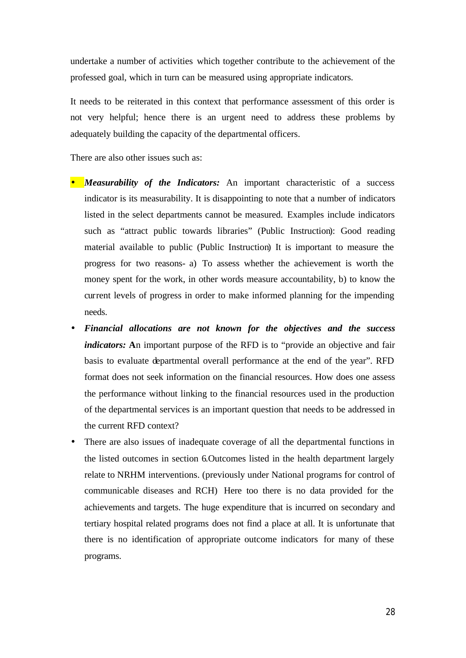undertake a number of activities which together contribute to the achievement of the professed goal, which in turn can be measured using appropriate indicators.

It needs to be reiterated in this context that performance assessment of this order is not very helpful; hence there is an urgent need to address these problems by adequately building the capacity of the departmental officers.

There are also other issues such as:

- *Measurability of the Indicators:* An important characteristic of a success indicator is its measurability. It is disappointing to note that a number of indicators listed in the select departments cannot be measured. Examples include indicators such as "attract public towards libraries" (Public Instruction): Good reading material available to public (Public Instruction) It is important to measure the progress for two reasons- a) To assess whether the achievement is worth the money spent for the work, in other words measure accountability, b) to know the current levels of progress in order to make informed planning for the impending needs.
- *Financial allocations are not known for the objectives and the success indicators:* **A**n important purpose of the RFD is to "provide an objective and fair basis to evaluate departmental overall performance at the end of the year". RFD format does not seek information on the financial resources. How does one assess the performance without linking to the financial resources used in the production of the departmental services is an important question that needs to be addressed in the current RFD context?
- There are also issues of inadequate coverage of all the departmental functions in the listed outcomes in section 6.Outcomes listed in the health department largely relate to NRHM interventions. (previously under National programs for control of communicable diseases and RCH) Here too there is no data provided for the achievements and targets. The huge expenditure that is incurred on secondary and tertiary hospital related programs does not find a place at all. It is unfortunate that there is no identification of appropriate outcome indicators for many of these programs.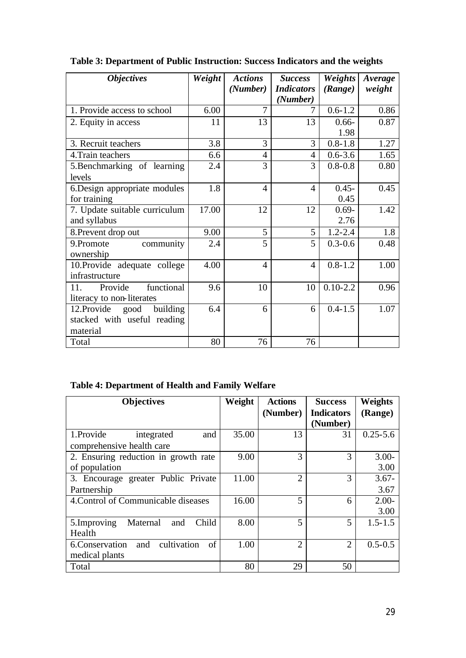| <b>Objectives</b>               | Weight | <b>Actions</b> | <b>Success</b>    | Weights      | Average |
|---------------------------------|--------|----------------|-------------------|--------------|---------|
|                                 |        | (Number)       | <b>Indicators</b> | (Range)      | weight  |
|                                 |        |                | (Number)          |              |         |
| 1. Provide access to school     | 6.00   | $\overline{7}$ | 7                 | $0.6 - 1.2$  | 0.86    |
| 2. Equity in access             | 11     | 13             | 13                | $0.66 -$     | 0.87    |
|                                 |        |                |                   | 1.98         |         |
| 3. Recruit teachers             | 3.8    | 3              | 3                 | $0.8 - 1.8$  | 1.27    |
| 4. Train teachers               | 6.6    | $\overline{4}$ | $\overline{4}$    | $0.6 - 3.6$  | 1.65    |
| 5. Benchmarking of learning     | 2.4    | 3              | 3                 | $0.8 - 0.8$  | 0.80    |
| levels                          |        |                |                   |              |         |
| 6. Design appropriate modules   | 1.8    | $\overline{4}$ | $\overline{4}$    | $0.45 -$     | 0.45    |
| for training                    |        |                |                   | 0.45         |         |
| 7. Update suitable curriculum   | 17.00  | 12             | 12                | $0.69 -$     | 1.42    |
| and syllabus                    |        |                |                   | 2.76         |         |
| 8. Prevent drop out             | 9.00   | 5              | 5                 | $1.2 - 2.4$  | 1.8     |
| 9.Promote<br>community          | 2.4    | 5              | 5                 | $0.3 - 0.6$  | 0.48    |
| ownership                       |        |                |                   |              |         |
| 10. Provide adequate college    | 4.00   | 4              | 4                 | $0.8 - 1.2$  | 1.00    |
| infrastructure                  |        |                |                   |              |         |
| functional<br>Provide<br>11.    | 9.6    | 10             | 10                | $0.10 - 2.2$ | 0.96    |
| literacy to non-literates       |        |                |                   |              |         |
| 12. Provide<br>good<br>building | 6.4    | 6              | 6                 | $0.4 - 1.5$  | 1.07    |
| stacked with useful reading     |        |                |                   |              |         |
| material                        |        |                |                   |              |         |
| Total                           | 80     | 76             | 76                |              |         |

**Table 3: Department of Public Instruction: Success Indicators and the weights**

# **Table 4: Department of Health and Family Welfare**

| <b>Objectives</b>                          | Weight | <b>Actions</b> | <b>Success</b>    | <b>Weights</b> |
|--------------------------------------------|--------|----------------|-------------------|----------------|
|                                            |        | (Number)       | <b>Indicators</b> | (Range)        |
|                                            |        |                | (Number)          |                |
| 1.Provide<br>and<br>integrated             | 35.00  | 13             | 31                | $0.25 - 5.6$   |
| comprehensive health care                  |        |                |                   |                |
| 2. Ensuring reduction in growth rate       | 9.00   | 3              | 3                 | $3.00 -$       |
| of population                              |        |                |                   | 3.00           |
| 3. Encourage greater Public Private        | 11.00  | $\overline{2}$ | 3                 | $3.67 -$       |
| Partnership                                |        |                |                   | 3.67           |
| 4. Control of Communicable diseases        | 16.00  | 5              | 6                 | $2.00-$        |
|                                            |        |                |                   | 3.00           |
| 5.Improving<br>Maternal<br>Child<br>and    | 8.00   | 5              | 5                 | $1.5 - 1.5$    |
| Health                                     |        |                |                   |                |
| cultivation<br>6.Conservation<br>of<br>and | 1.00   | $\overline{2}$ | $\overline{2}$    | $0.5 - 0.5$    |
| medical plants                             |        |                |                   |                |
| Total                                      | 80     | 29             | 50                |                |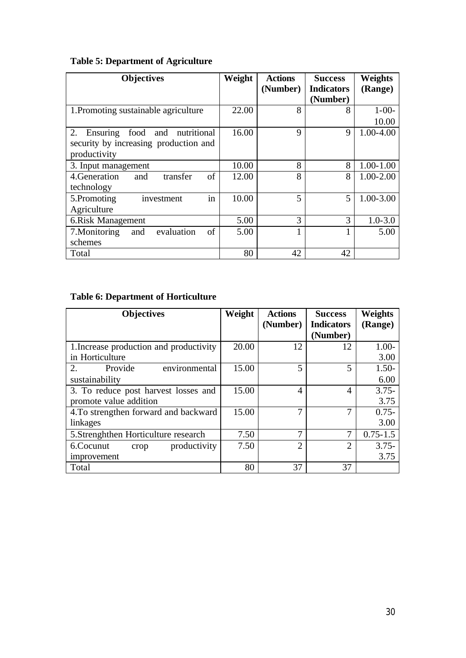# **Table 5: Department of Agriculture**

| <b>Objectives</b>                            | Weight | <b>Actions</b> | <b>Success</b>           | <b>Weights</b> |
|----------------------------------------------|--------|----------------|--------------------------|----------------|
|                                              |        | (Number)       | <b>Indicators</b>        | (Range)        |
|                                              |        |                | (Number)                 |                |
| 1. Promoting sustainable agriculture         | 22.00  | 8              | 8                        | $1 - 00 -$     |
|                                              |        |                |                          | 10.00          |
| 2.<br>nutritional<br>Ensuring<br>food<br>and | 16.00  | 9              | 9                        | 1.00-4.00      |
| security by increasing production and        |        |                |                          |                |
| productivity                                 |        |                |                          |                |
| 3. Input management                          | 10.00  | 8              | 8                        | $1.00 - 1.00$  |
| 4. Generation<br>of<br>transfer<br>and       | 12.00  | 8              | 8                        | $1.00 - 2.00$  |
| technology                                   |        |                |                          |                |
| in<br>5.Promoting<br>investment              | 10.00  | 5              | $\overline{\phantom{0}}$ | 1.00-3.00      |
| Agriculture                                  |        |                |                          |                |
| 6.Risk Management                            | 5.00   | 3              | 3                        | $1.0 - 3.0$    |
| of<br>7. Monitoring<br>evaluation<br>and     | 5.00   | 1              |                          | 5.00           |
| schemes                                      |        |                |                          |                |
| Total                                        | 80     | 42             | 42                       |                |

# **Table 6: Department of Horticulture**

| <b>Objectives</b>                       | Weight | <b>Actions</b><br>(Number) | <b>Success</b><br><b>Indicators</b><br>(Number) | Weights<br>(Range) |
|-----------------------------------------|--------|----------------------------|-------------------------------------------------|--------------------|
| 1. Increase production and productivity | 20.00  | 12                         | 12                                              | $1.00 -$           |
| in Horticulture                         |        |                            |                                                 | 3.00               |
| 2.<br>Provide<br>environmental          | 15.00  | 5                          | 5                                               | $1.50-$            |
| sustainability                          |        |                            |                                                 | 6.00               |
| 3. To reduce post harvest losses and    | 15.00  | 4                          | 4                                               | $3.75 -$           |
| promote value addition                  |        |                            |                                                 | 3.75               |
| 4. To strengthen forward and backward   | 15.00  | 7                          |                                                 | $0.75 -$           |
| linkages                                |        |                            |                                                 | 3.00               |
| 5. Strenghthen Horticulture research    | 7.50   | 7                          | 7                                               | $0.75 - 1.5$       |
| productivity<br>6.Cocunut<br>crop       | 7.50   | $\overline{2}$             | $\mathcal{D}_{\mathcal{A}}$                     | $3.75 -$           |
| improvement                             |        |                            |                                                 | 3.75               |
| Total                                   | 80     | 37                         | 37                                              |                    |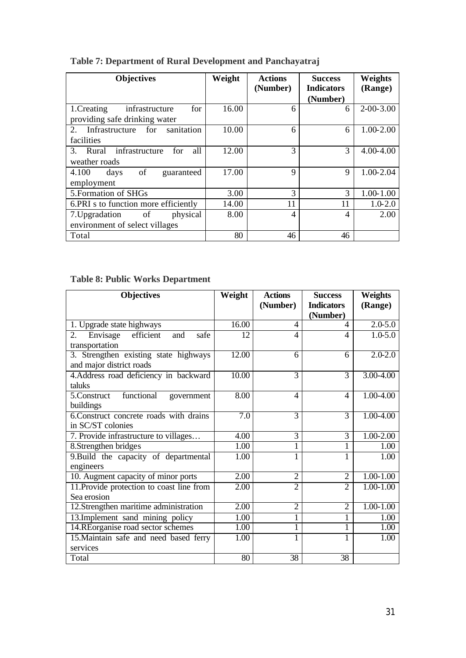| <b>Objectives</b>                          | Weight | <b>Actions</b><br>(Number) | <b>Success</b><br><b>Indicators</b> | Weights<br>(Range) |
|--------------------------------------------|--------|----------------------------|-------------------------------------|--------------------|
|                                            |        |                            | (Number)                            |                    |
| 1. Creating<br>infrastructure<br>for       | 16.00  | 6                          | 6                                   | $2 - 00 - 3.00$    |
| providing safe drinking water              |        |                            |                                     |                    |
| sanitation<br>Infrastructure for<br>2.     | 10.00  | 6                          | 6                                   | 1.00-2.00          |
| facilities                                 |        |                            |                                     |                    |
| infrastructure<br>all<br>for<br>Rural<br>3 | 12.00  | 3                          | 3                                   | 4.00-4.00          |
| weather roads                              |        |                            |                                     |                    |
| of<br>4.100<br>days<br>guaranteed          | 17.00  | 9                          | 9                                   | 1.00-2.04          |
| employment                                 |        |                            |                                     |                    |
| 5. Formation of SHGs                       | 3.00   | 3                          | 3                                   | 1.00-1.00          |
| 6. PRI s to function more efficiently      | 14.00  | 11                         | 11                                  | $1.0 - 2.0$        |
| 7. Upgradation of<br>physical              | 8.00   | 4                          | $\overline{4}$                      | 2.00               |
| environment of select villages             |        |                            |                                     |                    |
| Total                                      | 80     | 46                         | 46                                  |                    |

**Table 7: Department of Rural Development and Panchayatraj**

# **Table 8: Public Works Department**

| <b>Objectives</b>                                                 | Weight | <b>Actions</b><br>(Number) | <b>Success</b><br><b>Indicators</b> | <b>Weights</b><br>(Range) |
|-------------------------------------------------------------------|--------|----------------------------|-------------------------------------|---------------------------|
|                                                                   |        |                            | (Number)                            |                           |
| 1. Upgrade state highways                                         | 16.00  | $\overline{4}$             | 4                                   | $2.0 - 5.0$               |
| efficient<br>2.<br>Envisage<br>and<br>safe<br>transportation      | 12     | $\overline{4}$             | $\overline{4}$                      | $1.0 - 5.0$               |
| 3. Strengthen existing state highways<br>and major district roads | 12.00  | 6                          | 6                                   | $2.0 - 2.0$               |
| 4. Address road deficiency in backward<br>taluks                  | 10.00  | 3                          | 3                                   | 3.00-4.00                 |
| functional<br>5.Construct<br>government<br>buildings              | 8.00   | $\overline{\mathcal{A}}$   | 4                                   | 1.00-4.00                 |
| 6.Construct concrete roads with drains<br>in SC/ST colonies       | 7.0    | $\overline{3}$             | 3                                   | 1.00-4.00                 |
| 7. Provide infrastructure to villages                             | 4.00   | 3                          | 3                                   | $1.00 - 2.00$             |
| 8. Strengthen bridges                                             | 1.00   | 1                          | 1                                   | 1.00                      |
| 9. Build the capacity of departmental<br>engineers                | 1.00   | 1                          | 1                                   | 1.00                      |
| 10. Augment capacity of minor ports                               | 2.00   | $\overline{2}$             | $\overline{2}$                      | $1.00 - 1.00$             |
| 11. Provide protection to coast line from<br>Sea erosion          | 2.00   | $\overline{2}$             | $\overline{2}$                      | $1.00 - 1.00$             |
| 12. Strengthen maritime administration                            | 2.00   | $\overline{2}$             | $\overline{2}$                      | $1.00 - 1.00$             |
| 13. Implement sand mining policy                                  | 1.00   | 1                          |                                     | 1.00                      |
| 14.REorganise road sector schemes                                 | 1.00   | 1                          |                                     | 1.00                      |
| 15. Maintain safe and need based ferry<br>services                | 1.00   | 1                          | 1                                   | 1.00                      |
| Total                                                             | 80     | 38                         | 38                                  |                           |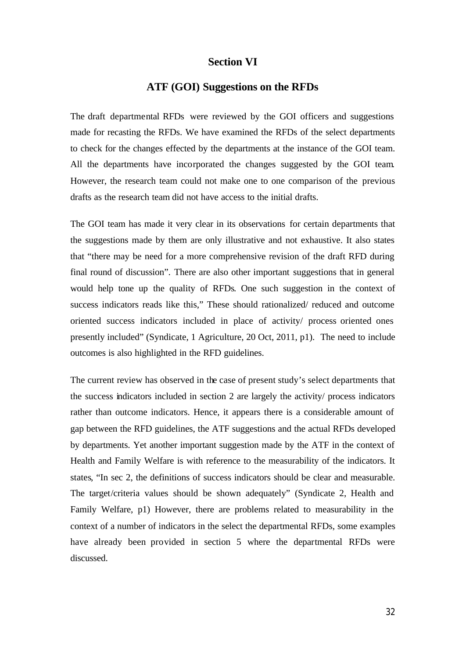### **Section VI**

### **ATF (GOI) Suggestions on the RFDs**

The draft departmental RFDs were reviewed by the GOI officers and suggestions made for recasting the RFDs. We have examined the RFDs of the select departments to check for the changes effected by the departments at the instance of the GOI team. All the departments have incorporated the changes suggested by the GOI team. However, the research team could not make one to one comparison of the previous drafts as the research team did not have access to the initial drafts.

The GOI team has made it very clear in its observations for certain departments that the suggestions made by them are only illustrative and not exhaustive. It also states that "there may be need for a more comprehensive revision of the draft RFD during final round of discussion". There are also other important suggestions that in general would help tone up the quality of RFDs. One such suggestion in the context of success indicators reads like this," These should rationalized/ reduced and outcome oriented success indicators included in place of activity/ process oriented ones presently included" (Syndicate, 1 Agriculture, 20 Oct, 2011, p1). The need to include outcomes is also highlighted in the RFD guidelines.

The current review has observed in the case of present study's select departments that the success indicators included in section 2 are largely the activity/ process indicators rather than outcome indicators. Hence, it appears there is a considerable amount of gap between the RFD guidelines, the ATF suggestions and the actual RFDs developed by departments. Yet another important suggestion made by the ATF in the context of Health and Family Welfare is with reference to the measurability of the indicators. It states, "In sec 2, the definitions of success indicators should be clear and measurable. The target/criteria values should be shown adequately" (Syndicate 2, Health and Family Welfare, p1) However, there are problems related to measurability in the context of a number of indicators in the select the departmental RFDs, some examples have already been provided in section 5 where the departmental RFDs were discussed.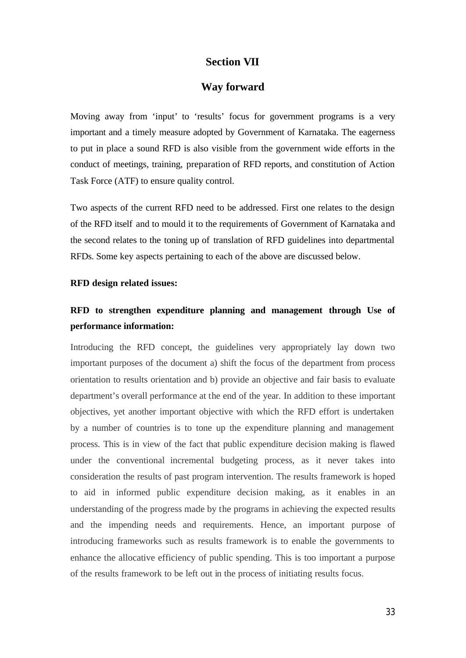## **Section VII**

### **Way forward**

Moving away from 'input' to 'results' focus for government programs is a very important and a timely measure adopted by Government of Karnataka. The eagerness to put in place a sound RFD is also visible from the government wide efforts in the conduct of meetings, training, preparation of RFD reports, and constitution of Action Task Force (ATF) to ensure quality control.

Two aspects of the current RFD need to be addressed. First one relates to the design of the RFD itself and to mould it to the requirements of Government of Karnataka and the second relates to the toning up of translation of RFD guidelines into departmental RFDs. Some key aspects pertaining to each of the above are discussed below.

#### **RFD design related issues:**

# **RFD to strengthen expenditure planning and management through Use of performance information:**

Introducing the RFD concept, the guidelines very appropriately lay down two important purposes of the document a) shift the focus of the department from process orientation to results orientation and b) provide an objective and fair basis to evaluate department's overall performance at the end of the year. In addition to these important objectives, yet another important objective with which the RFD effort is undertaken by a number of countries is to tone up the expenditure planning and management process. This is in view of the fact that public expenditure decision making is flawed under the conventional incremental budgeting process, as it never takes into consideration the results of past program intervention. The results framework is hoped to aid in informed public expenditure decision making, as it enables in an understanding of the progress made by the programs in achieving the expected results and the impending needs and requirements. Hence, an important purpose of introducing frameworks such as results framework is to enable the governments to enhance the allocative efficiency of public spending. This is too important a purpose of the results framework to be left out in the process of initiating results focus.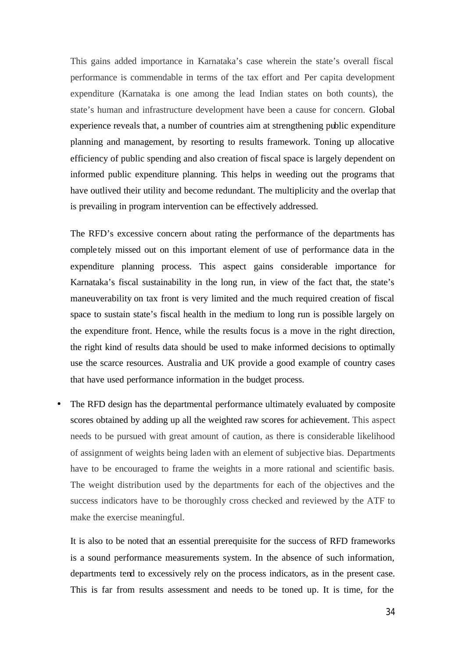This gains added importance in Karnataka's case wherein the state's overall fiscal performance is commendable in terms of the tax effort and Per capita development expenditure (Karnataka is one among the lead Indian states on both counts), the state's human and infrastructure development have been a cause for concern. Global experience reveals that, a number of countries aim at strengthening public expenditure planning and management, by resorting to results framework. Toning up allocative efficiency of public spending and also creation of fiscal space is largely dependent on informed public expenditure planning. This helps in weeding out the programs that have outlived their utility and become redundant. The multiplicity and the overlap that is prevailing in program intervention can be effectively addressed.

The RFD's excessive concern about rating the performance of the departments has completely missed out on this important element of use of performance data in the expenditure planning process. This aspect gains considerable importance for Karnataka's fiscal sustainability in the long run, in view of the fact that, the state's maneuverability on tax front is very limited and the much required creation of fiscal space to sustain state's fiscal health in the medium to long run is possible largely on the expenditure front. Hence, while the results focus is a move in the right direction, the right kind of results data should be used to make informed decisions to optimally use the scarce resources. Australia and UK provide a good example of country cases that have used performance information in the budget process.

The RFD design has the departmental performance ultimately evaluated by composite scores obtained by adding up all the weighted raw scores for achievement. This aspect needs to be pursued with great amount of caution, as there is considerable likelihood of assignment of weights being laden with an element of subjective bias. Departments have to be encouraged to frame the weights in a more rational and scientific basis. The weight distribution used by the departments for each of the objectives and the success indicators have to be thoroughly cross checked and reviewed by the ATF to make the exercise meaningful.

It is also to be noted that an essential prerequisite for the success of RFD frameworks is a sound performance measurements system. In the absence of such information, departments tend to excessively rely on the process indicators, as in the present case. This is far from results assessment and needs to be toned up. It is time, for the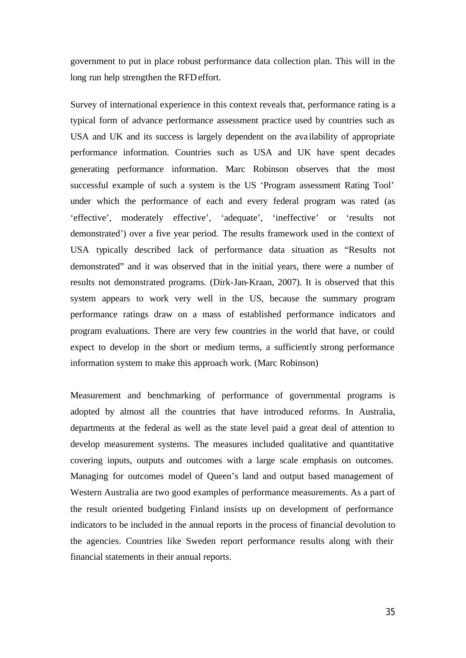government to put in place robust performance data collection plan. This will in the long run help strengthen the RFD effort.

Survey of international experience in this context reveals that, performance rating is a typical form of advance performance assessment practice used by countries such as USA and UK and its success is largely dependent on the ava ilability of appropriate performance information. Countries such as USA and UK have spent decades generating performance information. Marc Robinson observes that the most successful example of such a system is the US 'Program assessment Rating Tool' under which the performance of each and every federal program was rated (as 'effective', moderately effective', 'adequate', 'ineffective' or 'results not demonstrated') over a five year period. The results framework used in the context of USA typically described lack of performance data situation as "Results not demonstrated" and it was observed that in the initial years, there were a number of results not demonstrated programs. (Dirk-Jan-Kraan, 2007). It is observed that this system appears to work very well in the US, because the summary program performance ratings draw on a mass of established performance indicators and program evaluations. There are very few countries in the world that have, or could expect to develop in the short or medium terms, a sufficiently strong performance information system to make this approach work. (Marc Robinson)

Measurement and benchmarking of performance of governmental programs is adopted by almost all the countries that have introduced reforms. In Australia, departments at the federal as well as the state level paid a great deal of attention to develop measurement systems. The measures included qualitative and quantitative covering inputs, outputs and outcomes with a large scale emphasis on outcomes. Managing for outcomes model of Queen's land and output based management of Western Australia are two good examples of performance measurements. As a part of the result oriented budgeting Finland insists up on development of performance indicators to be included in the annual reports in the process of financial devolution to the agencies. Countries like Sweden report performance results along with their financial statements in their annual reports.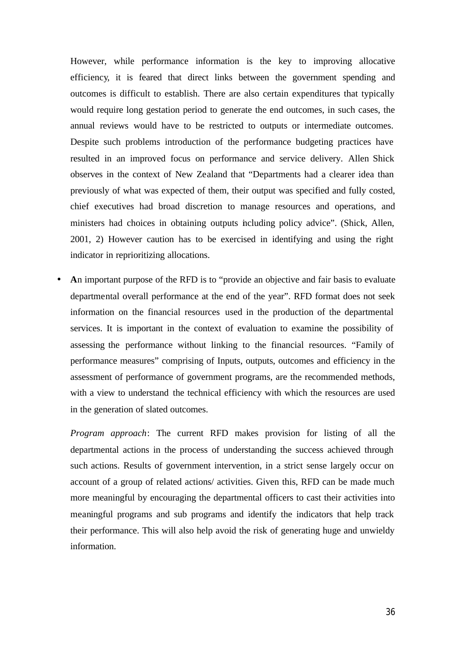However, while performance information is the key to improving allocative efficiency, it is feared that direct links between the government spending and outcomes is difficult to establish. There are also certain expenditures that typically would require long gestation period to generate the end outcomes, in such cases, the annual reviews would have to be restricted to outputs or intermediate outcomes. Despite such problems introduction of the performance budgeting practices have resulted in an improved focus on performance and service delivery. Allen Shick observes in the context of New Zealand that "Departments had a clearer idea than previously of what was expected of them, their output was specified and fully costed, chief executives had broad discretion to manage resources and operations, and ministers had choices in obtaining outputs including policy advice". (Shick, Allen, 2001, 2) However caution has to be exercised in identifying and using the right indicator in reprioritizing allocations.

• **A**n important purpose of the RFD is to "provide an objective and fair basis to evaluate departmental overall performance at the end of the year". RFD format does not seek information on the financial resources used in the production of the departmental services. It is important in the context of evaluation to examine the possibility of assessing the performance without linking to the financial resources. "Family of performance measures" comprising of Inputs, outputs, outcomes and efficiency in the assessment of performance of government programs, are the recommended methods, with a view to understand the technical efficiency with which the resources are used in the generation of slated outcomes.

*Program approach*: The current RFD makes provision for listing of all the departmental actions in the process of understanding the success achieved through such actions. Results of government intervention, in a strict sense largely occur on account of a group of related actions/ activities. Given this, RFD can be made much more meaningful by encouraging the departmental officers to cast their activities into meaningful programs and sub programs and identify the indicators that help track their performance. This will also help avoid the risk of generating huge and unwieldy information.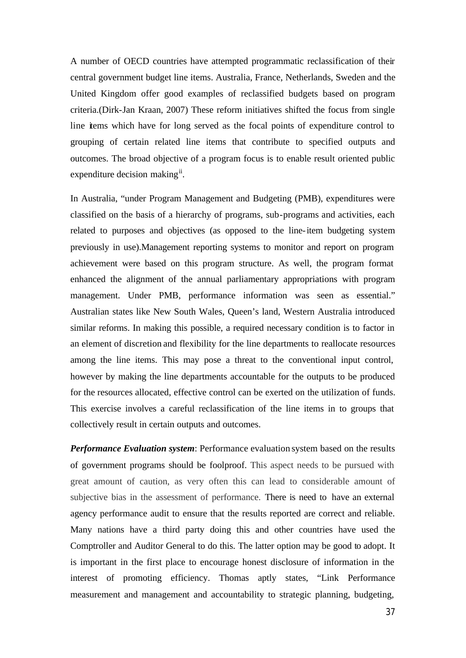A number of OECD countries have attempted programmatic reclassification of their central government budget line items. Australia, France, Netherlands, Sweden and the United Kingdom offer good examples of reclassified budgets based on program criteria.(Dirk-Jan Kraan, 2007) These reform initiatives shifted the focus from single line items which have for long served as the focal points of expenditure control to grouping of certain related line items that contribute to specified outputs and outcomes. The broad objective of a program focus is to enable result oriented public expenditure decision making<sup>ii</sup>.

In Australia, "under Program Management and Budgeting (PMB), expenditures were classified on the basis of a hierarchy of programs, sub-programs and activities, each related to purposes and objectives (as opposed to the line-item budgeting system previously in use).Management reporting systems to monitor and report on program achievement were based on this program structure. As well, the program format enhanced the alignment of the annual parliamentary appropriations with program management. Under PMB, performance information was seen as essential." Australian states like New South Wales, Queen's land, Western Australia introduced similar reforms. In making this possible, a required necessary condition is to factor in an element of discretion and flexibility for the line departments to reallocate resources among the line items. This may pose a threat to the conventional input control, however by making the line departments accountable for the outputs to be produced for the resources allocated, effective control can be exerted on the utilization of funds. This exercise involves a careful reclassification of the line items in to groups that collectively result in certain outputs and outcomes.

*Performance Evaluation system*: Performance evaluation system based on the results of government programs should be foolproof. This aspect needs to be pursued with great amount of caution, as very often this can lead to considerable amount of subjective bias in the assessment of performance. There is need to have an external agency performance audit to ensure that the results reported are correct and reliable. Many nations have a third party doing this and other countries have used the Comptroller and Auditor General to do this. The latter option may be good to adopt. It is important in the first place to encourage honest disclosure of information in the interest of promoting efficiency. Thomas aptly states, "Link Performance measurement and management and accountability to strategic planning, budgeting,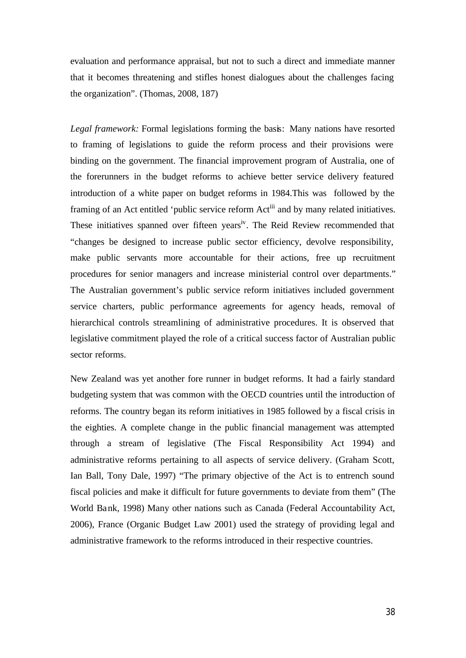evaluation and performance appraisal, but not to such a direct and immediate manner that it becomes threatening and stifles honest dialogues about the challenges facing the organization". (Thomas, 2008, 187)

*Legal framework:* Formal legislations forming the basis: Many nations have resorted to framing of legislations to guide the reform process and their provisions were binding on the government. The financial improvement program of Australia, one of the forerunners in the budget reforms to achieve better service delivery featured introduction of a white paper on budget reforms in 1984.This was followed by the framing of an Act entitled 'public service reform Act<sup>iii</sup> and by many related initiatives. These initiatives spanned over fifteen years<sup>iv</sup>. The Reid Review recommended that "changes be designed to increase public sector efficiency, devolve responsibility, make public servants more accountable for their actions, free up recruitment procedures for senior managers and increase ministerial control over departments." The Australian government's public service reform initiatives included government service charters, public performance agreements for agency heads, removal of hierarchical controls streamlining of administrative procedures. It is observed that legislative commitment played the role of a critical success factor of Australian public sector reforms.

New Zealand was yet another fore runner in budget reforms. It had a fairly standard budgeting system that was common with the OECD countries until the introduction of reforms. The country began its reform initiatives in 1985 followed by a fiscal crisis in the eighties. A complete change in the public financial management was attempted through a stream of legislative (The Fiscal Responsibility Act 1994) and administrative reforms pertaining to all aspects of service delivery. (Graham Scott, Ian Ball, Tony Dale, 1997) "The primary objective of the Act is to entrench sound fiscal policies and make it difficult for future governments to deviate from them" (The World Bank, 1998) Many other nations such as Canada (Federal Accountability Act, 2006), France (Organic Budget Law 2001) used the strategy of providing legal and administrative framework to the reforms introduced in their respective countries.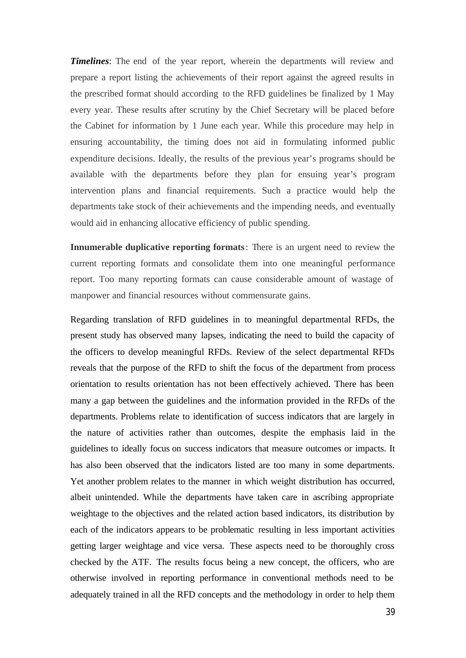*Timelines*: The end of the year report, wherein the departments will review and prepare a report listing the achievements of their report against the agreed results in the prescribed format should according to the RFD guidelines be finalized by 1 May every year. These results after scrutiny by the Chief Secretary will be placed before the Cabinet for information by 1 June each year. While this procedure may help in ensuring accountability, the timing does not aid in formulating informed public expenditure decisions. Ideally, the results of the previous year's programs should be available with the departments before they plan for ensuing year's program intervention plans and financial requirements. Such a practice would help the departments take stock of their achievements and the impending needs, and eventually would aid in enhancing allocative efficiency of public spending.

**Innumerable duplicative reporting formats**: There is an urgent need to review the current reporting formats and consolidate them into one meaningful performance report. Too many reporting formats can cause considerable amount of wastage of manpower and financial resources without commensurate gains.

Regarding translation of RFD guidelines in to meaningful departmental RFDs, the present study has observed many lapses, indicating the need to build the capacity of the officers to develop meaningful RFDs. Review of the select departmental RFDs reveals that the purpose of the RFD to shift the focus of the department from process orientation to results orientation has not been effectively achieved. There has been many a gap between the guidelines and the information provided in the RFDs of the departments. Problems relate to identification of success indicators that are largely in the nature of activities rather than outcomes, despite the emphasis laid in the guidelines to ideally focus on success indicators that measure outcomes or impacts. It has also been observed that the indicators listed are too many in some departments. Yet another problem relates to the manner in which weight distribution has occurred, albeit unintended. While the departments have taken care in ascribing appropriate weightage to the objectives and the related action based indicators, its distribution by each of the indicators appears to be problematic resulting in less important activities getting larger weightage and vice versa. These aspects need to be thoroughly cross checked by the ATF. The results focus being a new concept, the officers, who are otherwise involved in reporting performance in conventional methods need to be adequately trained in all the RFD concepts and the methodology in order to help them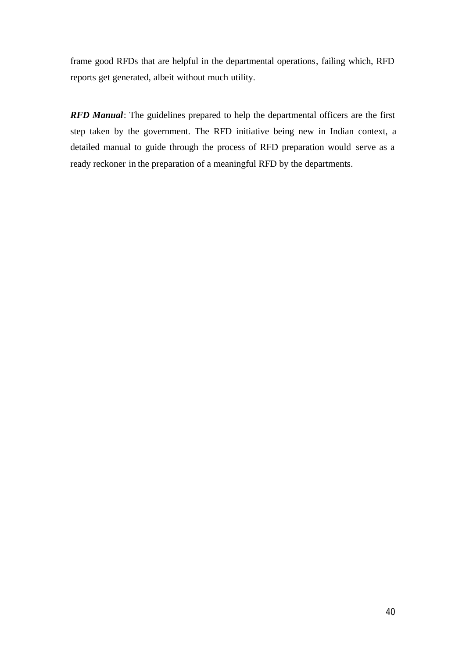frame good RFDs that are helpful in the departmental operations, failing which, RFD reports get generated, albeit without much utility.

*RFD Manual*: The guidelines prepared to help the departmental officers are the first step taken by the government. The RFD initiative being new in Indian context, a detailed manual to guide through the process of RFD preparation would serve as a ready reckoner in the preparation of a meaningful RFD by the departments.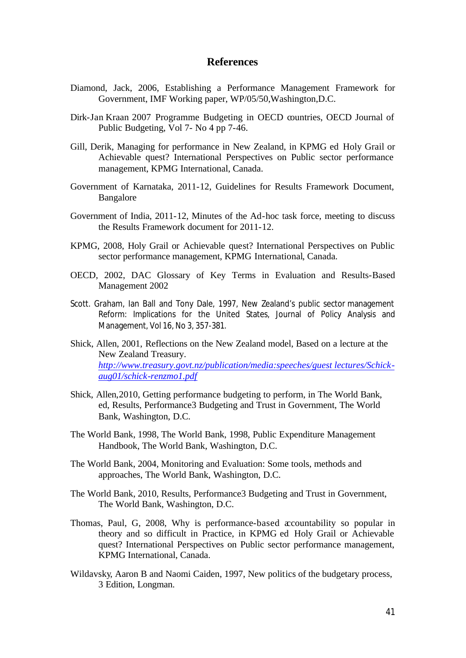### **References**

- Diamond, Jack, 2006, Establishing a Performance Management Framework for Government, IMF Working paper, WP/05/50,Washington,D.C.
- Dirk-Jan Kraan 2007 Programme Budgeting in OECD countries, OECD Journal of Public Budgeting, Vol 7- No 4 pp 7-46.
- Gill, Derik, Managing for performance in New Zealand, in KPMG ed Holy Grail or Achievable quest? International Perspectives on Public sector performance management, KPMG International, Canada.
- Government of Karnataka, 2011-12, Guidelines for Results Framework Document, Bangalore
- Government of India, 2011-12, Minutes of the Ad-hoc task force, meeting to discuss the Results Framework document for 2011-12.
- KPMG, 2008, Holy Grail or Achievable quest? International Perspectives on Public sector performance management, KPMG International, Canada.
- OECD, 2002, DAC Glossary of Key Terms in Evaluation and Results-Based Management 2002
- Scott. Graham, Ian Ball and Tony Dale, 1997, New Zealand's public sector management Reform: Implications for the United States, Journal of Policy Analysis and Management, Vol 16, No 3, 357-381.
- Shick, Allen, 2001, Reflections on the New Zealand model, Based on a lecture at the New Zealand Treasury. *http://www.treasury.govt.nz/publication/media:speeches/guest lectures/Schickaug01/schick-renzmo1.pdf*
- Shick, Allen,2010, Getting performance budgeting to perform, in The World Bank, ed, Results, Performance3 Budgeting and Trust in Government, The World Bank, Washington, D.C.
- The World Bank, 1998, The World Bank, 1998, Public Expenditure Management Handbook, The World Bank, Washington, D.C.
- The World Bank, 2004, Monitoring and Evaluation: Some tools, methods and approaches, The World Bank, Washington, D.C.
- The World Bank, 2010, Results, Performance3 Budgeting and Trust in Government, The World Bank, Washington, D.C.
- Thomas, Paul, G, 2008, Why is performance-based accountability so popular in theory and so difficult in Practice, in KPMG ed Holy Grail or Achievable quest? International Perspectives on Public sector performance management, KPMG International, Canada.
- Wildavsky, Aaron B and Naomi Caiden, 1997, New politics of the budgetary process, 3 Edition, Longman.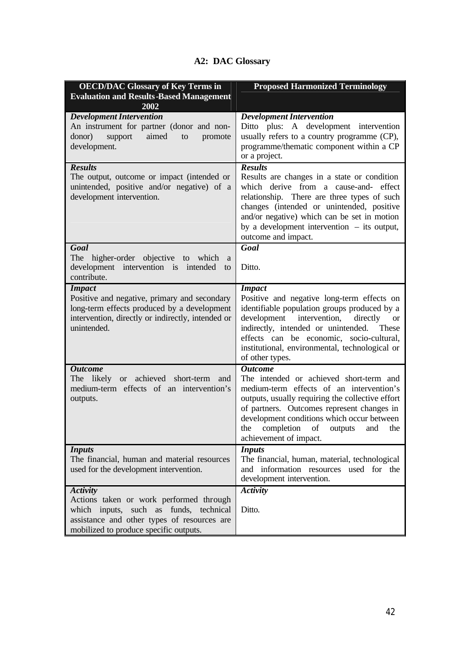# **A2: DAC Glossary**

| <b>OECD/DAC Glossary of Key Terms in</b><br><b>Evaluation and Results-Based Management</b><br>2002                                                                                            | <b>Proposed Harmonized Terminology</b>                                                                                                                                                                                                                                                                                          |
|-----------------------------------------------------------------------------------------------------------------------------------------------------------------------------------------------|---------------------------------------------------------------------------------------------------------------------------------------------------------------------------------------------------------------------------------------------------------------------------------------------------------------------------------|
| <b>Development Intervention</b><br>An instrument for partner (donor and non-<br>donor)<br>aimed<br>support<br>promote<br>to<br>development.                                                   | <b>Development Intervention</b><br>Ditto plus: A development intervention<br>usually refers to a country programme (CP),<br>programme/thematic component within a CP<br>or a project.                                                                                                                                           |
| <b>Results</b><br>The output, outcome or impact (intended or<br>unintended, positive and/or negative) of a<br>development intervention.                                                       | <b>Results</b><br>Results are changes in a state or condition<br>which derive from a cause-and- effect<br>relationship. There are three types of such<br>changes (intended or unintended, positive<br>and/or negative) which can be set in motion<br>by a development intervention $-$ its output,<br>outcome and impact.       |
| Goal<br>The<br>higher-order objective to which<br>a<br>development intervention is<br>intended<br>to<br>contribute.                                                                           | Goal<br>Ditto.                                                                                                                                                                                                                                                                                                                  |
| <b>Impact</b><br>Positive and negative, primary and secondary<br>long-term effects produced by a development<br>intervention, directly or indirectly, intended or<br>unintended.              | <b>Impact</b><br>Positive and negative long-term effects on<br>identifiable population groups produced by a<br>development intervention,<br>directly<br><b>or</b><br>indirectly, intended or unintended. These<br>effects can be economic, socio-cultural,<br>institutional, environmental, technological or<br>of other types. |
| <b>Outcome</b><br>The likely or<br>achieved short-term<br>and<br>medium-term effects of an intervention's<br>outputs.                                                                         | <b>Outcome</b><br>The intended or achieved short-term and<br>medium-term effects of an intervention's<br>outputs, usually requiring the collective effort<br>of partners. Outcomes represent changes in<br>development conditions which occur between<br>the completion of outputs and the<br>achievement of impact.            |
| <b>Inputs</b><br>The financial, human and material resources<br>used for the development intervention.                                                                                        | <b>Inputs</b><br>The financial, human, material, technological<br>and information resources used for the<br>development intervention.                                                                                                                                                                                           |
| <b>Activity</b><br>Actions taken or work performed through<br>which inputs, such as funds, technical<br>assistance and other types of resources are<br>mobilized to produce specific outputs. | <b>Activity</b><br>Ditto.                                                                                                                                                                                                                                                                                                       |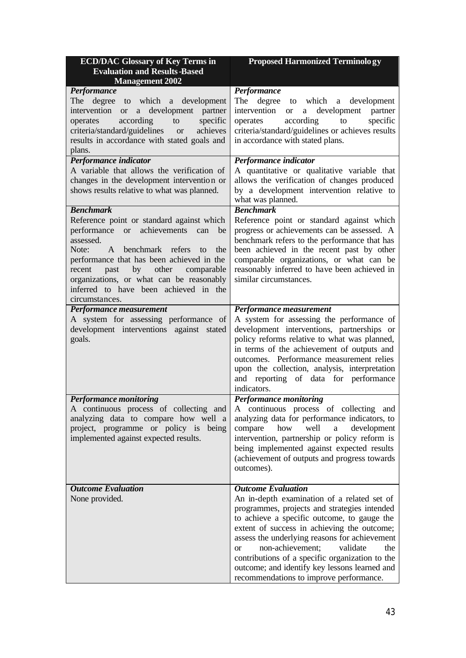| <b>ECD/DAC Glossary of Key Terms in</b><br><b>Evaluation and Results-Based</b><br><b>Management 2002</b>                                                                                                                                                                                                                                                                       | <b>Proposed Harmonized Terminology</b>                                                                                                                                                                                                                                                                                                                                                                                                                                     |
|--------------------------------------------------------------------------------------------------------------------------------------------------------------------------------------------------------------------------------------------------------------------------------------------------------------------------------------------------------------------------------|----------------------------------------------------------------------------------------------------------------------------------------------------------------------------------------------------------------------------------------------------------------------------------------------------------------------------------------------------------------------------------------------------------------------------------------------------------------------------|
| Performance<br>degree<br>to which a development<br>The<br>intervention or<br>a development partner<br>specific<br>according<br>to<br>operates<br>criteria/standard/guidelines<br>achieves<br><b>or</b><br>results in accordance with stated goals and<br>plans.                                                                                                                | Performance<br>The degree to which a development<br>intervention<br>a development partner<br><b>or</b><br>according<br>specific<br>operates<br>to<br>criteria/standard/guidelines or achieves results<br>in accordance with stated plans.                                                                                                                                                                                                                                  |
| Performance indicator<br>A variable that allows the verification of<br>changes in the development intervention or<br>shows results relative to what was planned.                                                                                                                                                                                                               | Performance indicator<br>A quantitative or qualitative variable that<br>allows the verification of changes produced<br>by a development intervention relative to<br>what was planned.                                                                                                                                                                                                                                                                                      |
| <b>Benchmark</b><br>Reference point or standard against which<br>achievements can<br>performance<br>or or<br>be<br>assessed.<br>Note:<br>benchmark refers<br>A<br>the<br>to<br>performance that has been achieved in the<br>other<br>by<br>past<br>comparable<br>recent<br>organizations, or what can be reasonably<br>inferred to have been achieved in the<br>circumstances. | <b>Benchmark</b><br>Reference point or standard against which<br>progress or achievements can be assessed. A<br>benchmark refers to the performance that has<br>been achieved in the recent past by other<br>comparable organizations, or what can be<br>reasonably inferred to have been achieved in<br>similar circumstances.                                                                                                                                            |
| Performance measurement<br>A system for assessing performance of<br>development interventions against stated<br>goals.                                                                                                                                                                                                                                                         | Performance measurement<br>A system for assessing the performance of<br>development interventions, partnerships or<br>policy reforms relative to what was planned,<br>in terms of the achievement of outputs and<br>outcomes. Performance measurement relies<br>upon the collection, analysis, interpretation<br>and reporting of data for performance<br>indicators.                                                                                                      |
| <b>Performance monitoring</b><br>A continuous process of collecting and<br>analyzing data to compare how well a<br>project, programme or policy is being<br>implemented against expected results.                                                                                                                                                                              | <b>Performance monitoring</b><br>A continuous process of collecting and<br>analyzing data for performance indicators, to<br>compare<br>how<br>well<br>development<br>$\rm{a}$<br>intervention, partnership or policy reform is<br>being implemented against expected results<br>(achievement of outputs and progress towards<br>outcomes).                                                                                                                                 |
| <b>Outcome Evaluation</b><br>None provided.                                                                                                                                                                                                                                                                                                                                    | <b>Outcome Evaluation</b><br>An in-depth examination of a related set of<br>programmes, projects and strategies intended<br>to achieve a specific outcome, to gauge the<br>extent of success in achieving the outcome;<br>assess the underlying reasons for achievement<br>non-achievement;<br>validate<br>the<br><b>or</b><br>contributions of a specific organization to the<br>outcome; and identify key lessons learned and<br>recommendations to improve performance. |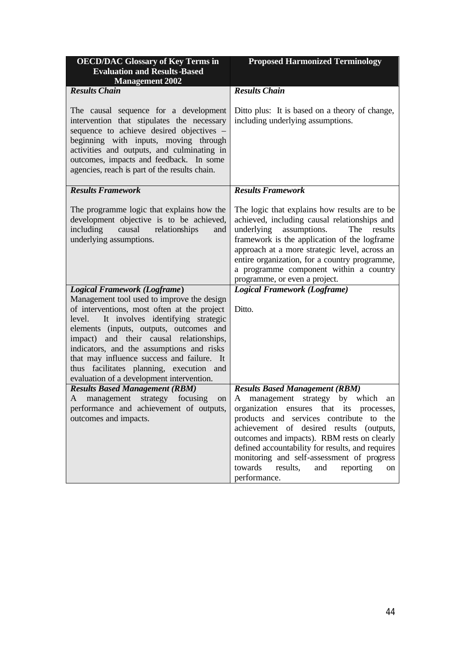| <b>OECD/DAC Glossary of Key Terms in</b>                                                                                                                                                                                                                                                                                                                                                                           | <b>Proposed Harmonized Terminology</b>                                                                                                                                                                                                                                                                                                                                                          |  |
|--------------------------------------------------------------------------------------------------------------------------------------------------------------------------------------------------------------------------------------------------------------------------------------------------------------------------------------------------------------------------------------------------------------------|-------------------------------------------------------------------------------------------------------------------------------------------------------------------------------------------------------------------------------------------------------------------------------------------------------------------------------------------------------------------------------------------------|--|
| <b>Evaluation and Results-Based</b>                                                                                                                                                                                                                                                                                                                                                                                |                                                                                                                                                                                                                                                                                                                                                                                                 |  |
| <b>Management 2002</b>                                                                                                                                                                                                                                                                                                                                                                                             |                                                                                                                                                                                                                                                                                                                                                                                                 |  |
| <b>Results Chain</b>                                                                                                                                                                                                                                                                                                                                                                                               | <b>Results Chain</b>                                                                                                                                                                                                                                                                                                                                                                            |  |
| The causal sequence for a development<br>intervention that stipulates the necessary<br>sequence to achieve desired objectives -<br>beginning with inputs, moving through<br>activities and outputs, and culminating in<br>outcomes, impacts and feedback. In some<br>agencies, reach is part of the results chain.                                                                                                 | Ditto plus: It is based on a theory of change,<br>including underlying assumptions.                                                                                                                                                                                                                                                                                                             |  |
| <b>Results Framework</b>                                                                                                                                                                                                                                                                                                                                                                                           | <b>Results Framework</b>                                                                                                                                                                                                                                                                                                                                                                        |  |
| The programme logic that explains how the<br>development objective is to be achieved,<br>causal<br>including<br>relationships<br>and<br>underlying assumptions.                                                                                                                                                                                                                                                    | The logic that explains how results are to be<br>achieved, including causal relationships and<br>underlying assumptions.<br>results<br>The<br>framework is the application of the logframe<br>approach at a more strategic level, across an<br>entire organization, for a country programme,<br>a programme component within a country<br>programme, or even a project.                         |  |
| <b>Logical Framework (Logframe)</b>                                                                                                                                                                                                                                                                                                                                                                                | <b>Logical Framework (Logframe)</b>                                                                                                                                                                                                                                                                                                                                                             |  |
| Management tool used to improve the design<br>of interventions, most often at the project<br>It involves identifying strategic<br>level.<br>elements (inputs, outputs, outcomes and<br>impact) and their causal relationships,<br>indicators, and the assumptions and risks<br>that may influence success and failure. It<br>thus facilitates planning, execution and<br>evaluation of a development intervention. | Ditto.                                                                                                                                                                                                                                                                                                                                                                                          |  |
| <b>Results Based Management (RBM)</b>                                                                                                                                                                                                                                                                                                                                                                              | <b>Results Based Management (RBM)</b>                                                                                                                                                                                                                                                                                                                                                           |  |
| management strategy focusing<br>A<br>on<br>performance and achievement of outputs,<br>outcomes and impacts.                                                                                                                                                                                                                                                                                                        | management strategy by<br>which<br>A<br>an<br>organization ensures that its processes,<br>products and services contribute to the<br>achievement of desired results (outputs,<br>outcomes and impacts). RBM rests on clearly<br>defined accountability for results, and requires<br>monitoring and self-assessment of progress<br>towards<br>results,<br>and<br>reporting<br>on<br>performance. |  |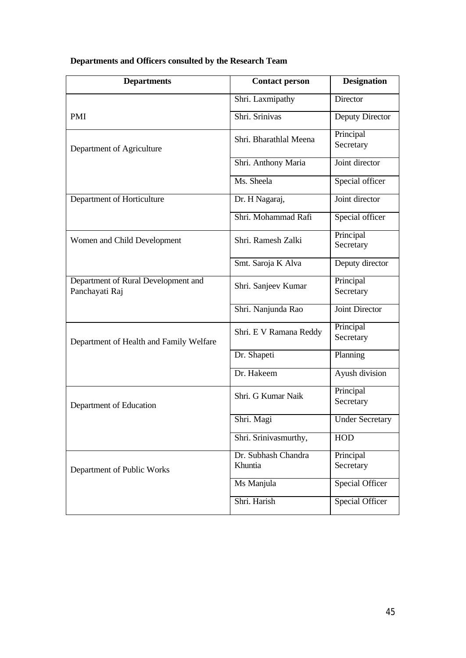| <b>Departments</b>                                    | <b>Contact person</b>          | <b>Designation</b>     |
|-------------------------------------------------------|--------------------------------|------------------------|
|                                                       | Shri. Laxmipathy               | Director               |
| PMI                                                   | Shri. Srinivas                 | <b>Deputy Director</b> |
| Department of Agriculture                             | Shri. Bharathlal Meena         | Principal<br>Secretary |
|                                                       | Shri. Anthony Maria            | Joint director         |
|                                                       | Ms. Sheela                     | Special officer        |
| Department of Horticulture                            | Dr. H Nagaraj,                 | Joint director         |
|                                                       | Shri. Mohammad Rafi            | Special officer        |
| Women and Child Development                           | Shri. Ramesh Zalki             | Principal<br>Secretary |
|                                                       | Smt. Saroja K Alva             | Deputy director        |
| Department of Rural Development and<br>Panchayati Raj | Shri. Sanjeev Kumar            | Principal<br>Secretary |
|                                                       | Shri. Nanjunda Rao             | <b>Joint Director</b>  |
| Department of Health and Family Welfare               | Shri. E V Ramana Reddy         | Principal<br>Secretary |
|                                                       | Dr. Shapeti                    | Planning               |
|                                                       | Dr. Hakeem                     | Ayush division         |
| Department of Education                               | Shri. G Kumar Naik             | Principal<br>Secretary |
|                                                       | Shri. Magi                     | <b>Under Secretary</b> |
|                                                       | Shri. Srinivasmurthy,          | <b>HOD</b>             |
| Department of Public Works                            | Dr. Subhash Chandra<br>Khuntia | Principal<br>Secretary |
|                                                       | Ms Manjula                     | <b>Special Officer</b> |
|                                                       | Shri. Harish                   | <b>Special Officer</b> |

# **Departments and Officers consulted by the Research Team**